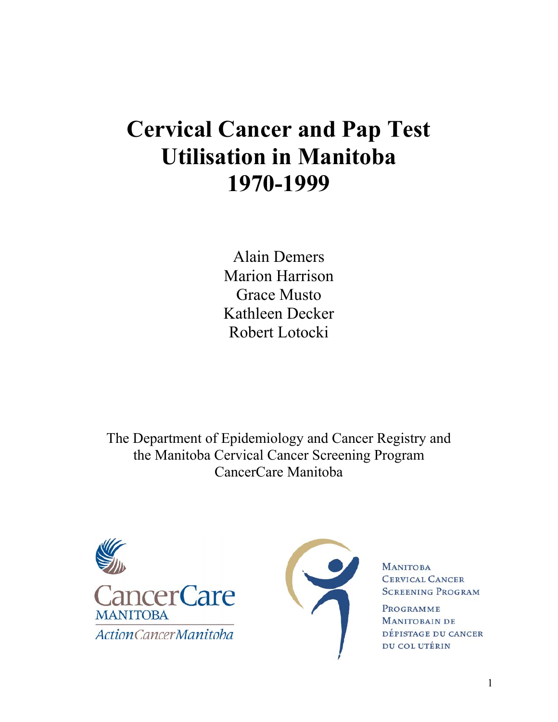# **Cervical Cancer and Pap Test Utilisation in Manitoba 1970-1999**

Alain Demers Marion Harrison Grace Musto Kathleen Decker Robert Lotocki

The Department of Epidemiology and Cancer Registry and the Manitoba Cervical Cancer Screening Program CancerCare Manitoba





**MANITOBA CERVICAL CANCER SCREENING PROGRAM** 

PROGRAMME **MANITOBAIN DE** DÉPISTAGE DU CANCER DU COL UTÉRIN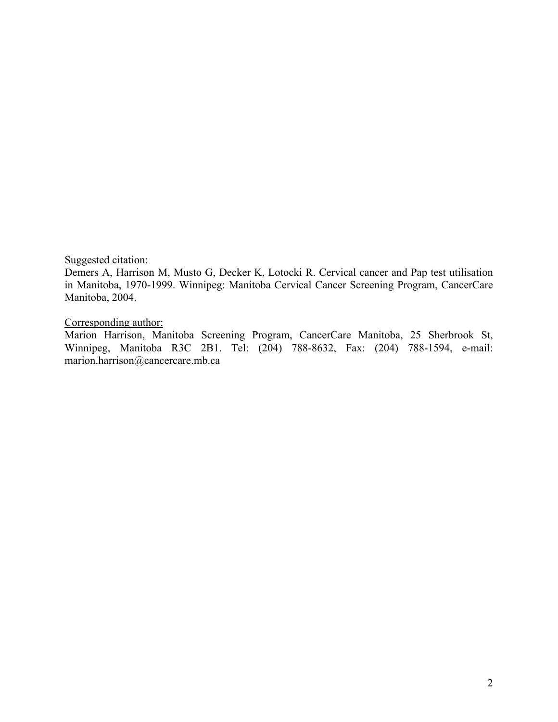Suggested citation:

Demers A, Harrison M, Musto G, Decker K, Lotocki R. Cervical cancer and Pap test utilisation in Manitoba, 1970-1999. Winnipeg: Manitoba Cervical Cancer Screening Program, CancerCare Manitoba, 2004.

Corresponding author:

Marion Harrison, Manitoba Screening Program, CancerCare Manitoba, 25 Sherbrook St, Winnipeg, Manitoba R3C 2B1. Tel: (204) 788-8632, Fax: (204) 788-1594, e-mail: marion.harrison@cancercare.mb.ca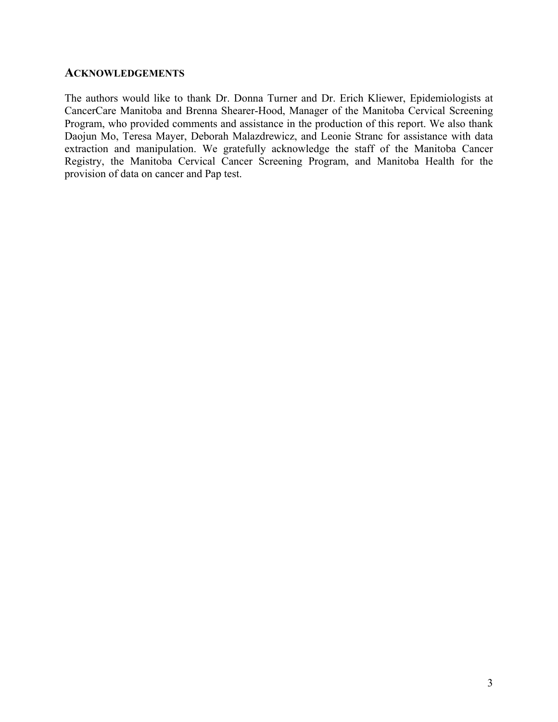#### **ACKNOWLEDGEMENTS**

The authors would like to thank Dr. Donna Turner and Dr. Erich Kliewer, Epidemiologists at CancerCare Manitoba and Brenna Shearer-Hood, Manager of the Manitoba Cervical Screening Program, who provided comments and assistance in the production of this report. We also thank Daojun Mo, Teresa Mayer, Deborah Malazdrewicz, and Leonie Stranc for assistance with data extraction and manipulation. We gratefully acknowledge the staff of the Manitoba Cancer Registry, the Manitoba Cervical Cancer Screening Program, and Manitoba Health for the provision of data on cancer and Pap test.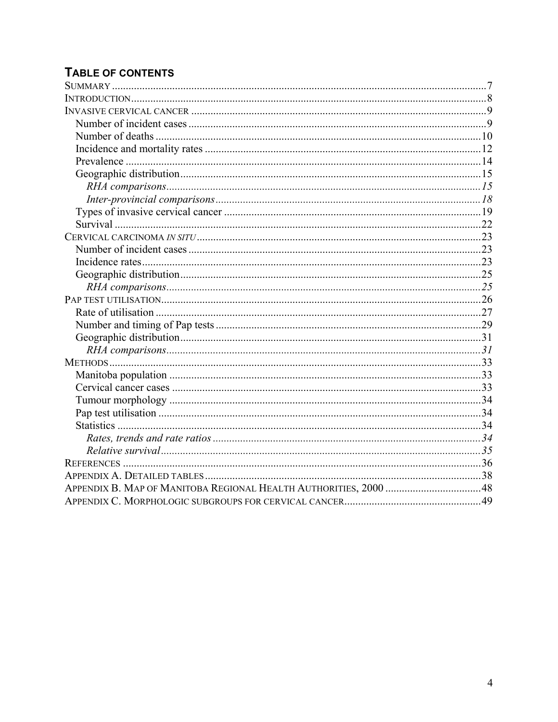# **TABLE OF CONTENTS**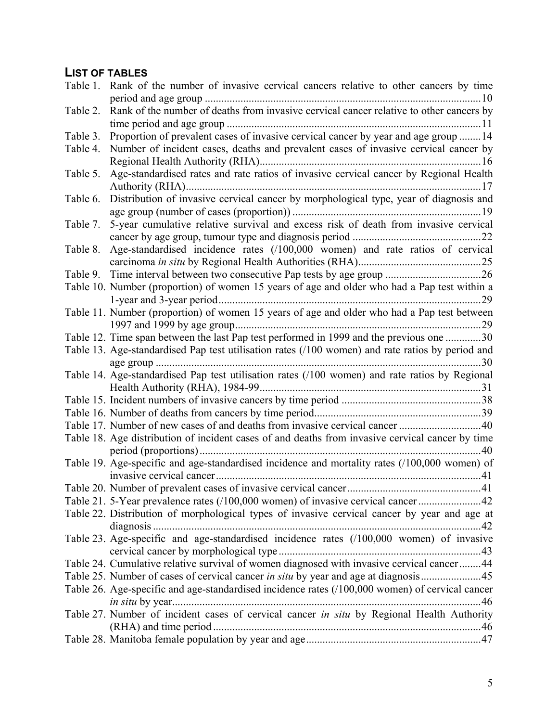# **LIST OF TABLES**

| Table 1. | Rank of the number of invasive cervical cancers relative to other cancers by time                |  |
|----------|--------------------------------------------------------------------------------------------------|--|
|          | .10                                                                                              |  |
| Table 2. | Rank of the number of deaths from invasive cervical cancer relative to other cancers by          |  |
|          |                                                                                                  |  |
| Table 3. | Proportion of prevalent cases of invasive cervical cancer by year and age group  14              |  |
| Table 4. | Number of incident cases, deaths and prevalent cases of invasive cervical cancer by              |  |
|          |                                                                                                  |  |
| Table 5. | Age-standardised rates and rate ratios of invasive cervical cancer by Regional Health            |  |
|          |                                                                                                  |  |
| Table 6. | Distribution of invasive cervical cancer by morphological type, year of diagnosis and            |  |
|          |                                                                                                  |  |
| Table 7. | 5-year cumulative relative survival and excess risk of death from invasive cervical              |  |
|          |                                                                                                  |  |
| Table 8. | Age-standardised incidence rates (/100,000 women) and rate ratios of cervical                    |  |
|          |                                                                                                  |  |
| Table 9. |                                                                                                  |  |
|          | Table 10. Number (proportion) of women 15 years of age and older who had a Pap test within a     |  |
|          |                                                                                                  |  |
|          | Table 11. Number (proportion) of women 15 years of age and older who had a Pap test between      |  |
|          |                                                                                                  |  |
|          | Table 12. Time span between the last Pap test performed in 1999 and the previous one 30          |  |
|          | Table 13. Age-standardised Pap test utilisation rates (/100 women) and rate ratios by period and |  |
|          | .30                                                                                              |  |
|          | Table 14. Age-standardised Pap test utilisation rates (/100 women) and rate ratios by Regional   |  |
|          |                                                                                                  |  |
|          |                                                                                                  |  |
|          |                                                                                                  |  |
|          | Table 17. Number of new cases of and deaths from invasive cervical cancer 40                     |  |
|          | Table 18. Age distribution of incident cases of and deaths from invasive cervical cancer by time |  |
|          |                                                                                                  |  |
|          | Table 19. Age-specific and age-standardised incidence and mortality rates (/100,000 women) of    |  |
|          |                                                                                                  |  |
|          |                                                                                                  |  |
|          |                                                                                                  |  |
|          | Table 22. Distribution of morphological types of invasive cervical cancer by year and age at     |  |
|          |                                                                                                  |  |
|          | Table 23. Age-specific and age-standardised incidence rates (/100,000 women) of invasive         |  |
|          |                                                                                                  |  |
|          | Table 24. Cumulative relative survival of women diagnosed with invasive cervical cancer44        |  |
|          | Table 25. Number of cases of cervical cancer in situ by year and age at diagnosis45              |  |
|          | Table 26. Age-specific and age-standardised incidence rates (/100,000 women) of cervical cancer  |  |
|          |                                                                                                  |  |
|          | Table 27. Number of incident cases of cervical cancer in situ by Regional Health Authority       |  |
|          |                                                                                                  |  |
|          |                                                                                                  |  |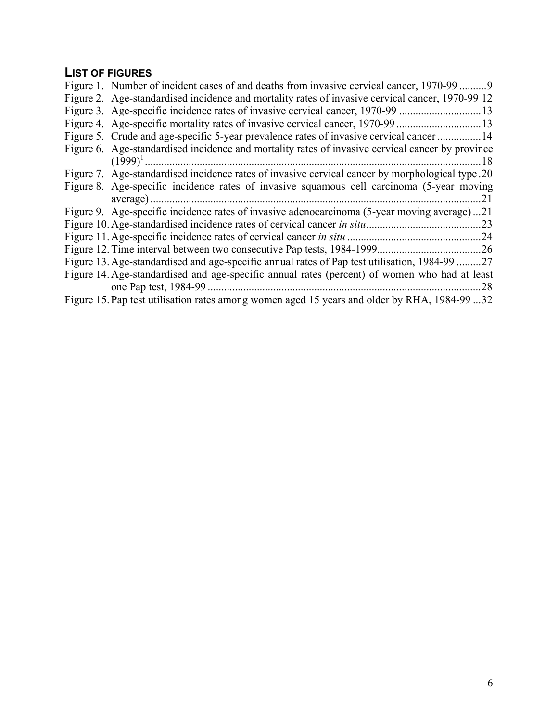# **LIST OF FIGURES**

| Figure 1. Number of incident cases of and deaths from invasive cervical cancer, 1970-99 9        |
|--------------------------------------------------------------------------------------------------|
| Figure 2. Age-standardised incidence and mortality rates of invasive cervical cancer, 1970-99 12 |
| Figure 3. Age-specific incidence rates of invasive cervical cancer, 1970-99 13                   |
| Figure 4. Age-specific mortality rates of invasive cervical cancer, 1970-99 13                   |
| Figure 5. Crude and age-specific 5-year prevalence rates of invasive cervical cancer  14         |
| Figure 6. Age-standardised incidence and mortality rates of invasive cervical cancer by province |
| $(1999)^{1}$<br>-18                                                                              |
| Figure 7. Age-standardised incidence rates of invasive cervical cancer by morphological type.20  |
| Figure 8. Age-specific incidence rates of invasive squamous cell carcinoma (5-year moving        |
| 21                                                                                               |
| Figure 9. Age-specific incidence rates of invasive adenocarcinoma (5-year moving average)21      |
| Figure 10. Age-standardised incidence rates of cervical cancer in situ<br>.23                    |
|                                                                                                  |
|                                                                                                  |
| Figure 13. Age-standardised and age-specific annual rates of Pap test utilisation, 1984-99 27    |
| Figure 14. Age-standardised and age-specific annual rates (percent) of women who had at least    |
| 28                                                                                               |
| Figure 15. Pap test utilisation rates among women aged 15 years and older by RHA, 1984-99 32     |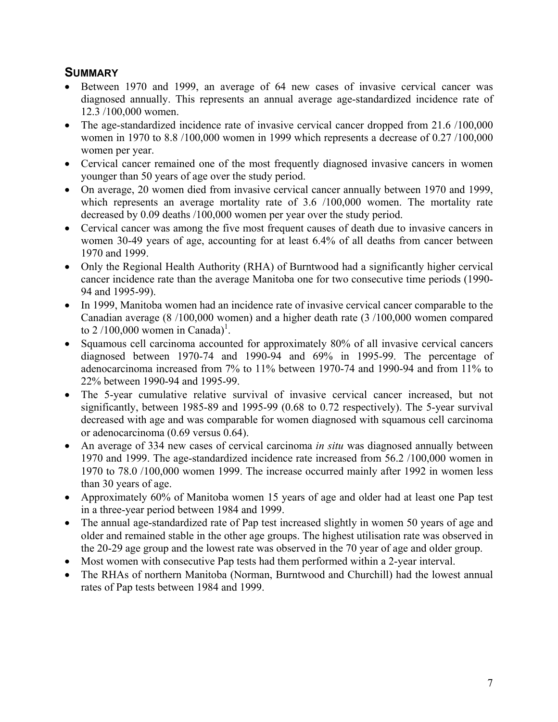# **SUMMARY**

- Between 1970 and 1999, an average of 64 new cases of invasive cervical cancer was diagnosed annually. This represents an annual average age-standardized incidence rate of 12.3 /100,000 women.
- The age-standardized incidence rate of invasive cervical cancer dropped from 21.6 /100,000 women in 1970 to 8.8 /100,000 women in 1999 which represents a decrease of 0.27 /100,000 women per year.
- Cervical cancer remained one of the most frequently diagnosed invasive cancers in women younger than 50 years of age over the study period.
- On average, 20 women died from invasive cervical cancer annually between 1970 and 1999, which represents an average mortality rate of 3.6 /100,000 women. The mortality rate decreased by 0.09 deaths /100,000 women per year over the study period.
- Cervical cancer was among the five most frequent causes of death due to invasive cancers in women 30-49 years of age, accounting for at least 6.4% of all deaths from cancer between 1970 and 1999.
- Only the Regional Health Authority (RHA) of Burntwood had a significantly higher cervical cancer incidence rate than the average Manitoba one for two consecutive time periods (1990- 94 and 1995-99).
- In 1999, Manitoba women had an incidence rate of invasive cervical cancer comparable to the Canadian average (8 /100,000 women) and a higher death rate (3 /100,000 women compared to  $2/100,000$  women in Canada)<sup>1</sup>.
- Squamous cell carcinoma accounted for approximately 80% of all invasive cervical cancers diagnosed between 1970-74 and 1990-94 and 69% in 1995-99. The percentage of adenocarcinoma increased from 7% to 11% between 1970-74 and 1990-94 and from 11% to 22% between 1990-94 and 1995-99.
- The 5-year cumulative relative survival of invasive cervical cancer increased, but not significantly, between 1985-89 and 1995-99 (0.68 to 0.72 respectively). The 5-year survival decreased with age and was comparable for women diagnosed with squamous cell carcinoma or adenocarcinoma (0.69 versus 0.64).
- An average of 334 new cases of cervical carcinoma *in situ* was diagnosed annually between 1970 and 1999. The age-standardized incidence rate increased from 56.2 /100,000 women in 1970 to 78.0 /100,000 women 1999. The increase occurred mainly after 1992 in women less than 30 years of age.
- Approximately 60% of Manitoba women 15 years of age and older had at least one Pap test in a three-year period between 1984 and 1999.
- The annual age-standardized rate of Pap test increased slightly in women 50 years of age and older and remained stable in the other age groups. The highest utilisation rate was observed in the 20-29 age group and the lowest rate was observed in the 70 year of age and older group.
- Most women with consecutive Pap tests had them performed within a 2-year interval.
- The RHAs of northern Manitoba (Norman, Burntwood and Churchill) had the lowest annual rates of Pap tests between 1984 and 1999.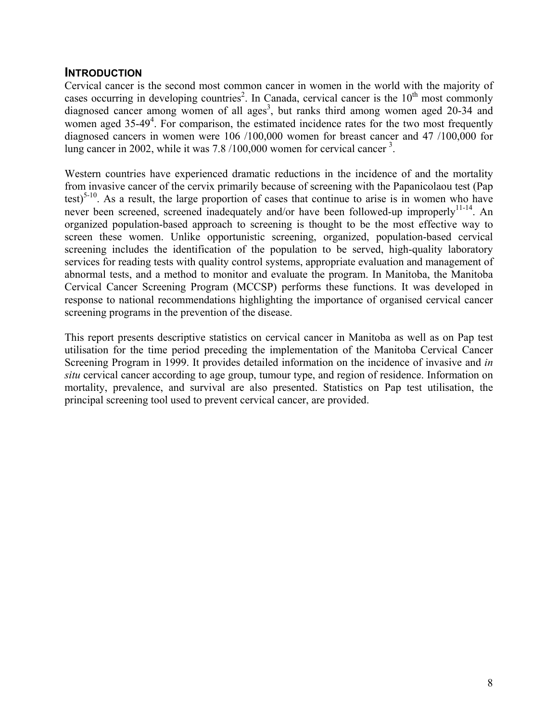# **INTRODUCTION**

Cervical cancer is the second most common cancer in women in the world with the majority of cases occurring in developing countries<sup>2</sup>. In Canada, cervical cancer is the  $10<sup>th</sup>$  most commonly diagnosed cancer among women of all ages<sup>3</sup>, but ranks third among women aged 20-34 and women aged 35-49<sup>4</sup>. For comparison, the estimated incidence rates for the two most frequently diagnosed cancers in women were 106 /100,000 women for breast cancer and 47 /100,000 for lung cancer in 2002, while it was 7.8 /100,000 women for cervical cancer<sup>3</sup>.

Western countries have experienced dramatic reductions in the incidence of and the mortality from invasive cancer of the cervix primarily because of screening with the Papanicolaou test (Pap test)<sup>5-10</sup>. As a result, the large proportion of cases that continue to arise is in women who have never been screened, screened inadequately and/or have been followed-up improperly<sup>11-14</sup>. An organized population-based approach to screening is thought to be the most effective way to screen these women. Unlike opportunistic screening, organized, population-based cervical screening includes the identification of the population to be served, high-quality laboratory services for reading tests with quality control systems, appropriate evaluation and management of abnormal tests, and a method to monitor and evaluate the program. In Manitoba, the Manitoba Cervical Cancer Screening Program (MCCSP) performs these functions. It was developed in response to national recommendations highlighting the importance of organised cervical cancer screening programs in the prevention of the disease.

This report presents descriptive statistics on cervical cancer in Manitoba as well as on Pap test utilisation for the time period preceding the implementation of the Manitoba Cervical Cancer Screening Program in 1999. It provides detailed information on the incidence of invasive and *in situ* cervical cancer according to age group, tumour type, and region of residence. Information on mortality, prevalence, and survival are also presented. Statistics on Pap test utilisation, the principal screening tool used to prevent cervical cancer, are provided.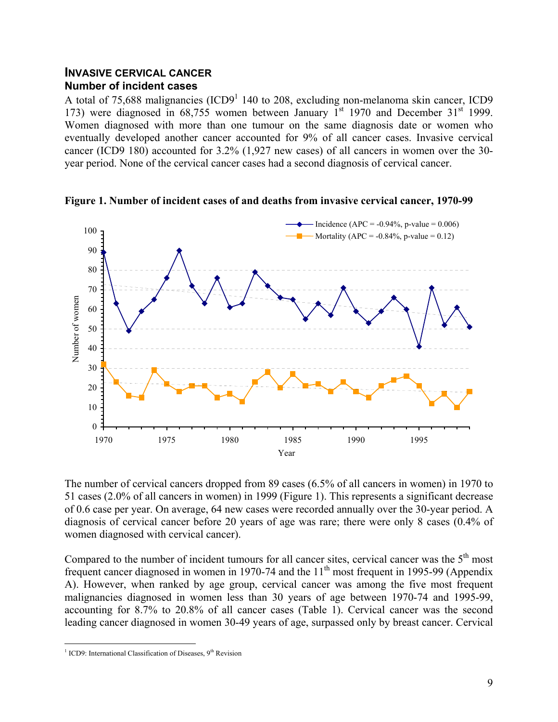## **INVASIVE CERVICAL CANCER Number of incident cases**

A total of 75,688 malignancies (ICD9<sup>1</sup> 140 to 208, excluding non-melanoma skin cancer, ICD9 173) were diagnosed in  $68,755$  women between January 1<sup>st</sup> 1970 and December 31<sup>st</sup> 1999. Women diagnosed with more than one tumour on the same diagnosis date or women who eventually developed another cancer accounted for 9% of all cancer cases. Invasive cervical cancer (ICD9 180) accounted for 3.2% (1,927 new cases) of all cancers in women over the 30 year period. None of the cervical cancer cases had a second diagnosis of cervical cancer.



**Figure 1. Number of incident cases of and deaths from invasive cervical cancer, 1970-99**

The number of cervical cancers dropped from 89 cases (6.5% of all cancers in women) in 1970 to 51 cases (2.0% of all cancers in women) in 1999 (Figure 1). This represents a significant decrease of 0.6 case per year. On average, 64 new cases were recorded annually over the 30-year period. A diagnosis of cervical cancer before 20 years of age was rare; there were only 8 cases (0.4% of women diagnosed with cervical cancer).

Compared to the number of incident tumours for all cancer sites, cervical cancer was the  $5<sup>th</sup>$  most frequent cancer diagnosed in women in 1970-74 and the  $11<sup>th</sup>$  most frequent in 1995-99 (Appendix A). However, when ranked by age group, cervical cancer was among the five most frequent malignancies diagnosed in women less than 30 years of age between 1970-74 and 1995-99, accounting for 8.7% to 20.8% of all cancer cases (Table 1). Cervical cancer was the second leading cancer diagnosed in women 30-49 years of age, surpassed only by breast cancer. Cervical

 $\frac{1}{1}$  ICD9: International Classification of Diseases, 9<sup>th</sup> Revision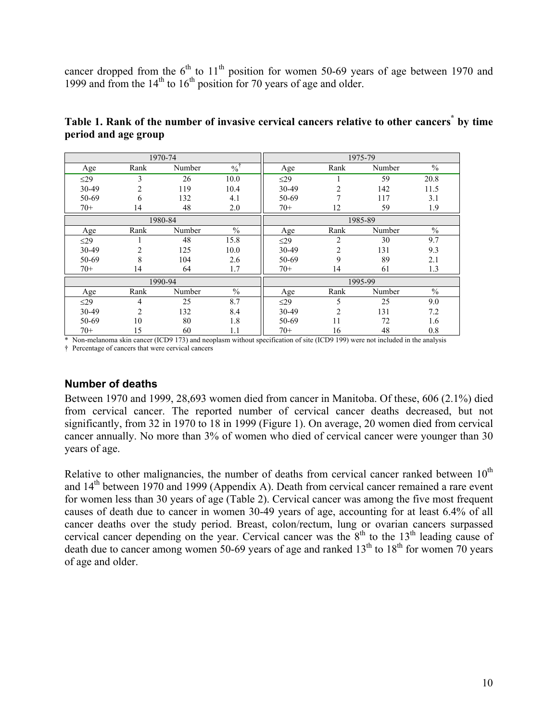cancer dropped from the  $6<sup>th</sup>$  to  $11<sup>th</sup>$  position for women 50-69 years of age between 1970 and 1999 and from the  $14<sup>th</sup>$  to  $16<sup>th</sup>$  position for 70 years of age and older.

|           |                | 1970-74 |               |           |                | 1975-79 |               |
|-----------|----------------|---------|---------------|-----------|----------------|---------|---------------|
| Age       | Rank           | Number  | $\frac{0}{0}$ | Age       | Rank           | Number  | $\frac{0}{0}$ |
| $\leq$ 29 | 3              | 26      | 10.0          | $\leq$ 29 |                | 59      | 20.8          |
| 30-49     | $\overline{2}$ | 119     | 10.4          | 30-49     | $\overline{2}$ | 142     | 11.5          |
| 50-69     | 6              | 132     | 4.1           | 50-69     | 7              | 117     | 3.1           |
| $70+$     | 14             | 48      | 2.0           | $70+$     | 12             | 59      | 1.9           |
|           |                | 1980-84 |               |           |                | 1985-89 |               |
| Age       | Rank           | Number  | $\%$          | Age       | Rank           | Number  | $\frac{0}{0}$ |
| $\leq$ 29 | 1              | 48      | 15.8          | $\leq$ 29 | 2              | 30      | 9.7           |
| 30-49     | 2              | 125     | 10.0          | 30-49     | $\overline{2}$ | 131     | 9.3           |
| 50-69     | 8              | 104     | 2.6           | 50-69     | 9              | 89      | 2.1           |
| $70+$     | 14             | 64      | 1.7           | $70+$     | 14             | 61      | 1.3           |
|           |                | 1990-94 |               |           |                | 1995-99 |               |
| Age       | Rank           | Number  | $\frac{0}{0}$ | Age       | Rank           | Number  | $\frac{0}{0}$ |
| $\leq$ 29 | $\overline{4}$ | 25      | 8.7           | $\leq$ 29 | 5              | 25      | 9.0           |
| 30-49     | $\overline{2}$ | 132     | 8.4           | 30-49     | $\overline{2}$ | 131     | 7.2           |
| 50-69     | 10             | 80      | 1.8           | 50-69     | 11             | 72      | 1.6           |
| $70+$     | 15             | 60      | 1.1           | $70+$     | 16             | 48      | 0.8           |

| Table 1. Rank of the number of invasive cervical cancers relative to other cancers <sup>*</sup> by time |  |
|---------------------------------------------------------------------------------------------------------|--|
| period and age group                                                                                    |  |

\* Non-melanoma skin cancer (ICD9 173) and neoplasm without specification of site (ICD9 199) were not included in the analysis

† Percentage of cancers that were cervical cancers

## **Number of deaths**

Between 1970 and 1999, 28,693 women died from cancer in Manitoba. Of these, 606 (2.1%) died from cervical cancer. The reported number of cervical cancer deaths decreased, but not significantly, from 32 in 1970 to 18 in 1999 (Figure 1). On average, 20 women died from cervical cancer annually. No more than 3% of women who died of cervical cancer were younger than 30 years of age.

Relative to other malignancies, the number of deaths from cervical cancer ranked between  $10<sup>th</sup>$ and  $14<sup>th</sup>$  between 1970 and 1999 (Appendix A). Death from cervical cancer remained a rare event for women less than 30 years of age (Table 2). Cervical cancer was among the five most frequent causes of death due to cancer in women 30-49 years of age, accounting for at least 6.4% of all cancer deaths over the study period. Breast, colon/rectum, lung or ovarian cancers surpassed cervical cancer depending on the year. Cervical cancer was the 8<sup>th</sup> to the 13<sup>th</sup> leading cause of death due to cancer among women 50-69 years of age and ranked  $13<sup>th</sup>$  to  $18<sup>th</sup>$  for women 70 years of age and older.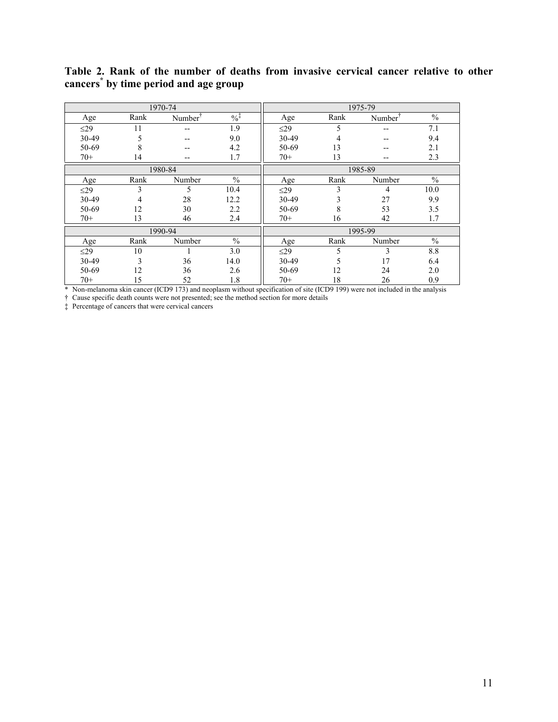|           |      | 1970-74             |               |           |      | 1975-79             |               |  |  |
|-----------|------|---------------------|---------------|-----------|------|---------------------|---------------|--|--|
| Age       | Rank | Number <sup>1</sup> | $\frac{0}{6}$ | Age       | Rank | Number <sup>1</sup> | $\frac{0}{0}$ |  |  |
| $\leq$ 29 | 11   | --                  | 1.9           | $\leq$ 29 | 5    |                     | 7.1           |  |  |
| 30-49     | 5    | --                  | 9.0           | 30-49     | 4    | --                  | 9.4           |  |  |
| 50-69     | 8    | --                  | 4.2           | 50-69     | 13   | --                  | 2.1           |  |  |
| $70+$     | 14   | --                  | 1.7           | $70+$     | 13   | --                  | 2.3           |  |  |
|           |      | 1980-84             |               | 1985-89   |      |                     |               |  |  |
| Age       | Rank | Number              | $\sqrt{0}$    | Age       | Rank | Number              | $\frac{0}{0}$ |  |  |
| $\leq$ 29 | 3    | 5                   | 10.4          | $\leq$ 29 | 3    | 4                   | 10.0          |  |  |
| 30-49     | 4    | 28                  | 12.2          | 30-49     | 3    | 27                  | 9.9           |  |  |
| 50-69     | 12   | 30                  | 2.2           | 50-69     | 8    | 53                  | 3.5           |  |  |
| $70+$     | 13   | 46                  | 2.4           | $70+$     | 16   | 42                  | 1.7           |  |  |
|           |      | 1990-94             |               |           |      | 1995-99             |               |  |  |
| Age       | Rank | Number              | $\frac{0}{0}$ | Age       | Rank | Number              | $\frac{0}{0}$ |  |  |
| $\leq$ 29 | 10   |                     | 3.0           | $\leq$ 29 | 5    | 3                   | 8.8           |  |  |
| 30-49     | 3    | 36                  | 14.0          | 30-49     | 5    | 17                  | 6.4           |  |  |
| 50-69     | 12   | 36                  | 2.6           | 50-69     | 12   | 24                  | 2.0           |  |  |
| $70+$     | 15   | 52                  | 1.8           | $70+$     | 18   | 26                  | 0.9           |  |  |

#### **Table 2. Rank of the number of deaths from invasive cervical cancer relative to other cancers\* by time period and age group**

\* Non-melanoma skin cancer (ICD9 173) and neoplasm without specification of site (ICD9 199) were not included in the analysis

† Cause specific death counts were not presented; see the method section for more details

‡ Percentage of cancers that were cervical cancers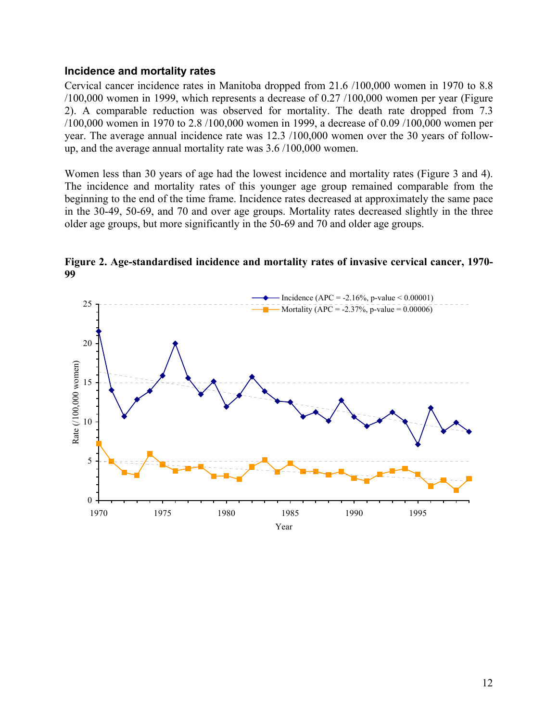#### **Incidence and mortality rates**

Cervical cancer incidence rates in Manitoba dropped from 21.6 /100,000 women in 1970 to 8.8 /100,000 women in 1999, which represents a decrease of 0.27 /100,000 women per year (Figure 2). A comparable reduction was observed for mortality. The death rate dropped from 7.3 /100,000 women in 1970 to 2.8 /100,000 women in 1999, a decrease of 0.09 /100,000 women per year. The average annual incidence rate was 12.3 /100,000 women over the 30 years of followup, and the average annual mortality rate was 3.6 /100,000 women.

Women less than 30 years of age had the lowest incidence and mortality rates (Figure 3 and 4). The incidence and mortality rates of this younger age group remained comparable from the beginning to the end of the time frame. Incidence rates decreased at approximately the same pace in the 30-49, 50-69, and 70 and over age groups. Mortality rates decreased slightly in the three older age groups, but more significantly in the 50-69 and 70 and older age groups.



**Figure 2. Age-standardised incidence and mortality rates of invasive cervical cancer, 1970- 99**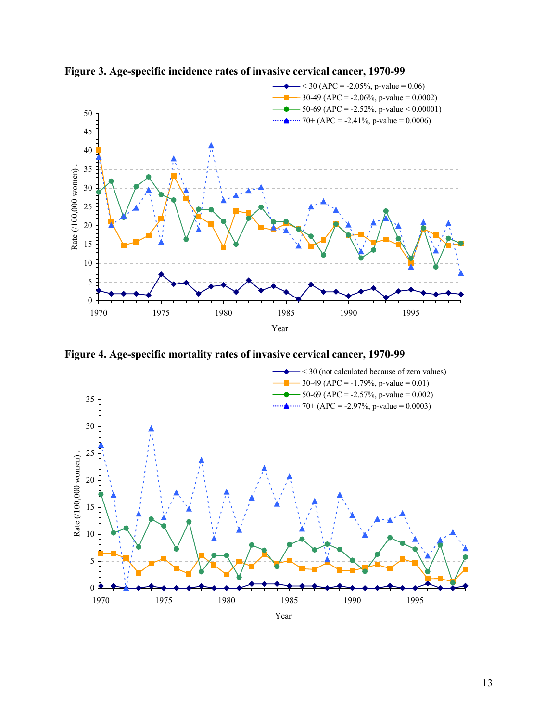

**Figure 3. Age-specific incidence rates of invasive cervical cancer, 1970-99**

**Figure 4. Age-specific mortality rates of invasive cervical cancer, 1970-99**

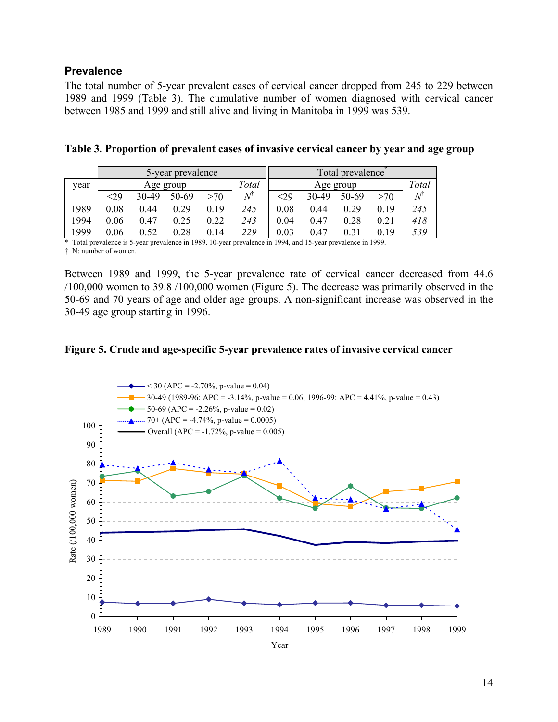## **Prevalence**

The total number of 5-year prevalent cases of cervical cancer dropped from 245 to 229 between 1989 and 1999 (Table 3). The cumulative number of women diagnosed with cervical cancer between 1985 and 1999 and still alive and living in Manitoba in 1999 was 539.

|      |           |       | 5-year prevalence |      |       | Total prevalence |       |       |      |       |
|------|-----------|-------|-------------------|------|-------|------------------|-------|-------|------|-------|
| vear | Age group |       |                   |      | Total | Age group        |       |       |      | Total |
|      | $\leq$ 29 | 30-49 | 50-69             | >70  |       | $\leq$ 29        | 30-49 | 50-69 | >70  |       |
| 1989 | 0.08      | 0.44  | 0.29              | 0.19 | 245   | 0.08             | 0.44  | 0.29  | 0.19 | 245   |
| 1994 | 0.06      | 0.47  | 0.25              | 0.22 | 243   | 0.04             | 0.47  | 0.28  | 0.21 | 418   |
| 1999 | $0.06\,$  | 0.52  | 0.28              | 0.14 | 229   | $\rm 0.03$       | 0.47  | 0.31  | 0 19 | 539   |

|  | Table 3. Proportion of prevalent cases of invasive cervical cancer by year and age group |  |  |  |
|--|------------------------------------------------------------------------------------------|--|--|--|
|  |                                                                                          |  |  |  |

\* Total prevalence is 5-year prevalence in 1989, 10-year prevalence in 1994, and 15-year prevalence in 1999.

† N: number of women.

Between 1989 and 1999, the 5-year prevalence rate of cervical cancer decreased from 44.6 /100,000 women to 39.8 /100,000 women (Figure 5). The decrease was primarily observed in the 50-69 and 70 years of age and older age groups. A non-significant increase was observed in the 30-49 age group starting in 1996.

#### **Figure 5. Crude and age-specific 5-year prevalence rates of invasive cervical cancer**

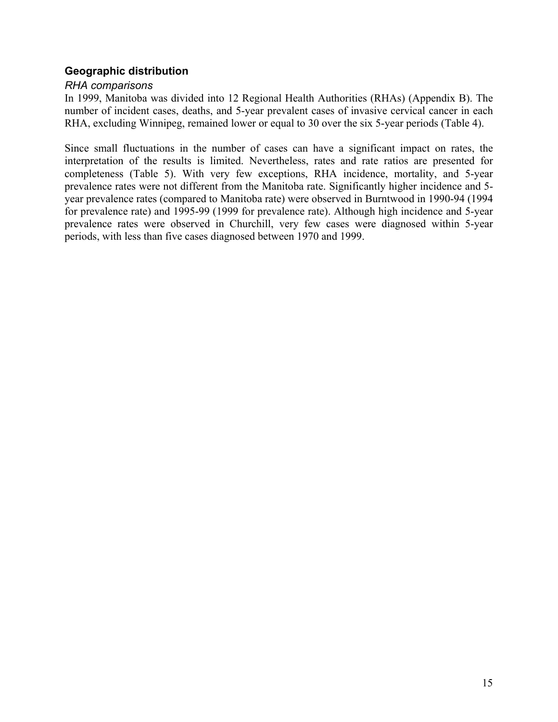# **Geographic distribution**

#### *RHA comparisons*

In 1999, Manitoba was divided into 12 Regional Health Authorities (RHAs) (Appendix B). The number of incident cases, deaths, and 5-year prevalent cases of invasive cervical cancer in each RHA, excluding Winnipeg, remained lower or equal to 30 over the six 5-year periods (Table 4).

Since small fluctuations in the number of cases can have a significant impact on rates, the interpretation of the results is limited. Nevertheless, rates and rate ratios are presented for completeness (Table 5). With very few exceptions, RHA incidence, mortality, and 5-year prevalence rates were not different from the Manitoba rate. Significantly higher incidence and 5 year prevalence rates (compared to Manitoba rate) were observed in Burntwood in 1990-94 (1994 for prevalence rate) and 1995-99 (1999 for prevalence rate). Although high incidence and 5-year prevalence rates were observed in Churchill, very few cases were diagnosed within 5-year periods, with less than five cases diagnosed between 1970 and 1999.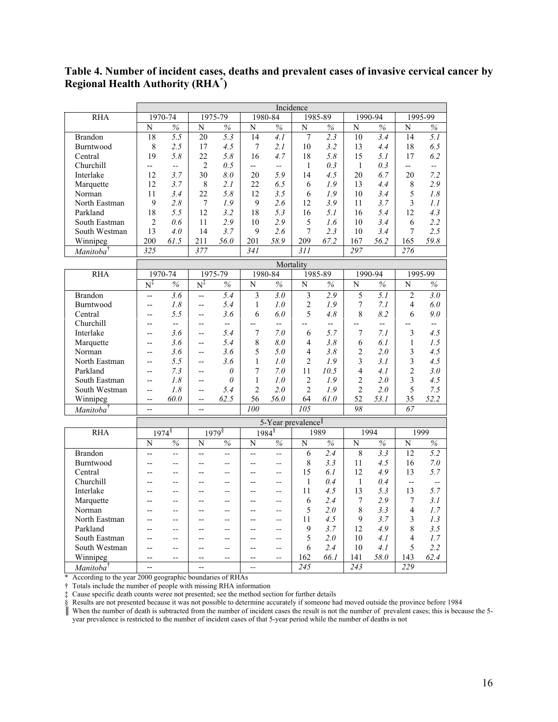**Table 4. Number of incident cases, deaths and prevalent cases of invasive cervical cancer by Regional Health Authority (RHA\* )**

|                       |                | Incidence                |                          |                          |                          |                          |                |                |                |                          |                          |                          |
|-----------------------|----------------|--------------------------|--------------------------|--------------------------|--------------------------|--------------------------|----------------|----------------|----------------|--------------------------|--------------------------|--------------------------|
| <b>RHA</b>            |                | 1970-74                  |                          | 1975-79                  |                          | 1980-84                  |                | 1985-89        |                | 1990-94                  |                          | 1995-99                  |
|                       | N              | $\frac{9}{6}$            | N                        | $\%$                     | N                        | $\frac{9}{6}$            | N              | $\frac{9}{6}$  | N              | $\frac{0}{0}$            | N                        | $\%$                     |
| <b>Brandon</b>        | 18             | 5.5                      | 20                       | $\overline{5}$ .3        | 14                       | 4.1                      | 7              | 2.3            | 10             | 3.4                      | 14                       | 5.1                      |
| Burntwood             | 8              | 2.5                      | 17                       | 4.5                      | 7                        | 2.1                      | 10             | 3.2            | 13             | 4.4                      | 18                       | 6.5                      |
| Central               | 19             | 5.8                      | 22                       | 5.8                      | 16                       | 4.7                      | 18             | 5.8            | 15             | 5.1                      | 17                       | 6.2                      |
| Churchill             | $-$            | $\overline{a}$           | $\overline{2}$           | 0.5                      | $\overline{\phantom{a}}$ | $\overline{\phantom{a}}$ | $\mathbf{1}$   | 0.3            | $\mathbf{1}$   | 0.3                      | --                       | $-$                      |
| Interlake             | 12             | 3.7                      | 30                       | 8.0                      | 20                       | 5.9                      | 14             | 4.5            | 20             | 6.7                      | 20                       | 7.2                      |
| Marquette             | 12             | 3.7                      | 8                        | 2.1                      | 22                       | 6.5                      | 6              | 1.9            | 13             | 4.4                      | 8                        | 2.9                      |
| Norman                | 11             | 3.4                      | 22                       | 5.8                      | 12                       | 3.5                      | 6              | 1.9            | 10             | 3.4                      | 5                        | 1.8                      |
| North Eastman         | 9              | 2.8                      | 7                        | 1.9                      | 9                        | 2.6                      | 12             | 3.9            | 11             | 3.7                      | 3                        | 1.1                      |
| Parkland              | 18             | 5.5                      | 12                       | 3.2                      | 18                       | 5.3                      | 16             | 5.1            | 16             | 5.4                      | 12                       | 4.3                      |
| South Eastman         | $\overline{2}$ | 0.6                      | 11                       | 2.9                      | 10                       | 2.9                      | 5              | 1.6            | 10             | 3.4                      | 6                        | 2.2                      |
| South Westman         | 13             | 4.0                      | 14                       | 3.7                      | 9                        | 2.6                      | $\overline{7}$ | 2.3            | 10             | 3.4                      | 7                        | 2.5                      |
| Winnipeg              | 200            | 61.5                     | 211                      | 56.0                     | 201                      | 58.9                     | 209            | 67.2           | 167            | 56.2                     | 165                      | 59.8                     |
| Manitoba <sup>†</sup> | 325            |                          | 377                      |                          | 341                      |                          | 311            |                | 297            |                          | 276                      |                          |
|                       |                |                          |                          |                          |                          |                          |                |                |                |                          |                          |                          |
|                       |                |                          |                          |                          |                          | Mortality                |                |                |                |                          |                          |                          |
| <b>RHA</b>            |                | 1970-74                  |                          | 1975-79                  |                          | 1980-84                  |                | 1985-89        |                | 1990-94                  |                          | 1995-99                  |
|                       | $N^{\ddagger}$ | $\%$                     | $\mathrm{N}^\ddagger$    | $\%$                     | N                        | $\%$                     | N              | $\%$           | N              | $\%$                     | N                        | $\%$                     |
| <b>Brandon</b>        | $\overline{a}$ | 3.6                      | $\overline{a}$           | 5.4                      | 3                        | 3.0                      | 3              | 2.9            | 5              | 5.1                      | $\mathfrak{D}$           | $\overline{3.0}$         |
| Burntwood             | $\overline{a}$ | 1.8                      | --                       | 5.4                      | $\mathbf{1}$             | 1.0                      | $\overline{2}$ | 1.9            | 7              | 7.1                      | 4                        | 6.0                      |
| Central               |                | 5.5                      | --                       | 3.6                      | 6                        | 6.0                      | 5              | 4.8            | 8              | 8.2                      | 6                        | 9.0                      |
| Churchill             | $-$            | $\overline{\phantom{a}}$ | $\overline{a}$           | $\overline{\phantom{a}}$ | $\overline{a}$           | $\overline{a}$           |                | $\overline{a}$ | $\overline{a}$ | $\overline{\phantom{a}}$ |                          | $\overline{a}$           |
| Interlake             | $\overline{a}$ | 3.6                      | --                       | 5.4                      | $\overline{7}$           | 7.0                      | 6              | 5.7            | 7              | 7.1                      | 3                        | 4.5                      |
| Marquette             | $-$            | 3.6                      | $\overline{a}$           | 5.4                      | 8                        | 8.0                      | 4              | 3.8            | 6              | 6.1                      | 1                        | 1.5                      |
| Norman                | $-$            | 3.6                      | $\overline{\phantom{a}}$ | 3.6                      | 5                        | 5.0                      | $\overline{4}$ | 3.8            | $\overline{2}$ | 2.0                      | 3                        | 4.5                      |
| North Eastman         | $-$            | 5.5                      | $\overline{a}$           | 3.6                      | 1                        | 1.0                      | $\overline{c}$ | 1.9            | 3              | 3.1                      | 3                        | 4.5                      |
| Parkland              | $-$            | 7.3                      | $\overline{a}$           | $\theta$                 | 7                        | 7.0                      | 11             | 10.5           | $\overline{4}$ | 4.1                      | $\overline{2}$           | 3.0                      |
| South Eastman         | $-$            | 1.8                      | $-$                      | $\theta$                 | 1                        | 1.0                      | $\overline{2}$ | 1.9            | $\overline{2}$ | 2.0                      | 3                        | 4.5                      |
| South Westman         | $\overline{a}$ | 1.8                      | Ξ.                       | 5.4                      | $\overline{2}$           | 2.0                      | $\overline{2}$ | 1.9            | $\overline{2}$ | 2.0                      | 5                        | 7.5                      |
| Winnipeg              | $-$            | 60.0                     | $-$                      | 62.5                     | 56                       | 56.0                     | 64             | 61.0           | 52             | 53.1                     | 35                       | 52.2                     |
| Manitoba <sup>1</sup> | $\overline{a}$ |                          | $\overline{a}$           |                          | 100                      |                          | 105            |                | 98             |                          | 67                       |                          |
|                       |                |                          |                          |                          |                          | 5-Year prevalence        |                |                |                |                          |                          |                          |
| <b>RHA</b>            |                | 1974                     |                          | $1979$ <sup>§</sup>      |                          | $1984^{\$}$              |                | 1989           |                |                          | 1994<br>1999             |                          |
|                       | N              | $\frac{0}{0}$            | N                        | $\%$                     | N                        | $\%$                     | N              | $\%$           | N              | $\%$                     | N                        | $\%$                     |
| <b>Brandon</b>        | $\overline{a}$ | $\sim$                   | $\overline{a}$           | $\overline{a}$           | $\overline{a}$           | $\overline{a}$           | 6              | 2.4            | 8              | 3.3                      | 12                       | 5.2                      |
| Burntwood             | $-$            | $-$                      | $-$                      | $-$                      | $\overline{a}$           | $-$                      | 8              | 3.3            | 11             | 4.5                      | 16                       | 7.0                      |
| Central               |                | $\sim$                   | $\overline{a}$           | $\overline{a}$           | $\overline{a}$           | $\overline{a}$           | 15             | 6.1            | 12             | 4.9                      | 13                       | 5.7                      |
| Churchill             | $\overline{a}$ | $-$                      | $-$                      | $-$                      | $\overline{a}$           | $-$                      | $\mathbf{1}$   | 0.4            | $\mathbf{1}$   | 0.4                      | $\overline{\phantom{a}}$ | $\overline{\phantom{a}}$ |
| Interlake             |                | $-$                      | $\overline{a}$           | $-$                      | $\overline{a}$           | $\overline{a}$           | 11             | 4.5            | 13             | 5.3                      | 13                       | 5.7                      |
| Marquette             | $-$            | $\sim$                   | $\overline{a}$           | $\overline{a}$           | $\overline{a}$           | $-$                      | 6              | 2.4            | 7              | 2.9                      | 7                        | 3.1                      |
| Norman                |                | $\overline{a}$           | $\overline{a}$           | $\overline{\phantom{a}}$ | $\overline{a}$           | $\overline{a}$           | 5              | 2.0            | 8              | 3.3                      | 4                        | 1.7                      |
| North Eastman         |                | $-$                      | $\overline{a}$           | $-$                      | $\overline{a}$           | $\overline{a}$           | 11             | 4.5            | 9              | 3.7                      | 3                        | 1.3                      |
| Parkland              |                | $\sim$                   | $\overline{a}$           | $\overline{a}$           | $\overline{a}$           | $\overline{a}$           | 9              | 3.7            | 12             | 4.9                      | 8                        | 3.5                      |
| South Eastman         |                |                          |                          |                          |                          |                          |                |                |                |                          | 4                        |                          |
|                       | $-$            | $-$                      | $-$                      | $-$                      | $\overline{a}$           | $-$                      | 5<br>6         | 2.0            | 10<br>10       | 4.1                      | 5                        | 1.7<br>2.2               |
| South Westman         | $-$            | $-$                      |                          | $\overline{a}$           | $\overline{a}$           | $\overline{a}$           |                | 2.4            |                | 4.1                      |                          |                          |
| Winnipeg              | $\overline{a}$ | $\sim$                   | $-$                      | $\sim$                   | $\overline{a}$           | $\overline{a}$           | 162            | 66.1           | 141            | 58.0                     | 143                      | 62.4                     |
| Manitoba              |                |                          | $\overline{a}$           |                          | $\sim$                   |                          | 245            |                | 243            |                          | 229                      |                          |

\* According to the year 2000 geographic boundaries of RHAs

† Totals include the number of people with missing RHA information

‡ Cause specific death counts weree not presented; see the method section for further details

§ Results are not presented because it was not possible to determine accurately if someone had moved outside the province before 1984

║ When the number of death is subtracted from the number of incident cases the result is not the number of prevalent cases; this is because the 5 year prevalence is restricted to the number of incident cases of that 5-year period while the number of deaths is not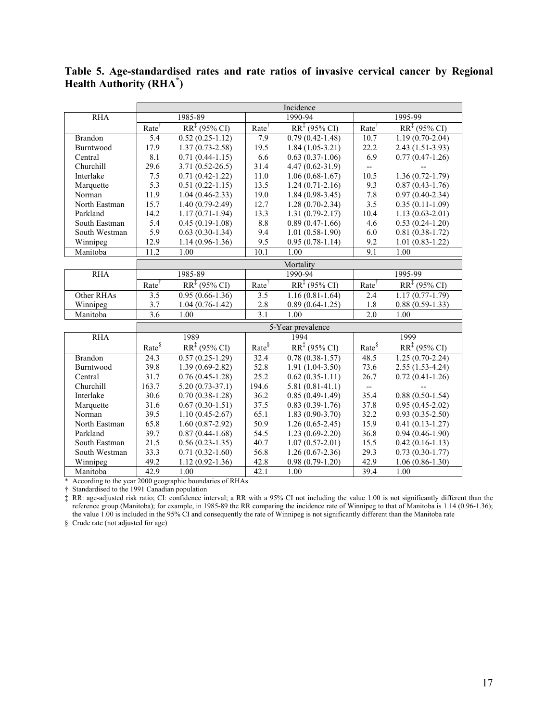**Table 5. Age-standardised rates and rate ratios of invasive cervical cancer by Regional Health Authority (RHA\* )**

| <b>RHA</b>     |                   | 1985-89                  |                   | 1990-94                   |                          | 1995-99                  |
|----------------|-------------------|--------------------------|-------------------|---------------------------|--------------------------|--------------------------|
|                | Rate              | $RR^{\ddagger}$ (95% CI) | Rate <sup>†</sup> | $RR^{\ddagger}$ (95% CI)  | Rate <sup>†</sup>        | $RR^{\ddagger}$ (95% CI) |
| <b>Brandon</b> | 5.4               | $0.52(0.25-1.12)$        | 7.9               | $0.79(0.42 - 1.48)$       | 10.7                     | $1.19(0.70-2.04)$        |
| Burntwood      | 17.9              | $1.37(0.73 - 2.58)$      | 19.5              | $1.84(1.05-3.21)$         | 22.2                     | $2.43(1.51-3.93)$        |
| Central        | 8.1               | $0.71(0.44-1.15)$        | 6.6               | $0.63(0.37-1.06)$         | 6.9                      | $0.77(0.47-1.26)$        |
| Churchill      | 29.6              | $3.71(0.52 - 26.5)$      | 31.4              | $4.47(0.62 - 31.9)$       | $-$                      |                          |
| Interlake      | 7.5               | $0.71(0.42 - 1.22)$      | 11.0              | $1.06(0.68-1.67)$         | 10.5                     | $1.36(0.72 - 1.79)$      |
| Marquette      | 5.3               | $0.51(0.22-1.15)$        | 13.5              | $1.24(0.71-2.16)$         | 9.3                      | $0.87(0.43-1.76)$        |
| Norman         | 11.9              | $1.04(0.46-2.33)$        | 19.0              | $1.84(0.98-3.45)$         | 7.8                      | $0.97(0.40-2.34)$        |
| North Eastman  | 15.7              | $1.40(0.79-2.49)$        | 12.7              | $1.28(0.70-2.34)$         | 3.5                      | $0.35(0.11-1.09)$        |
| Parkland       | 14.2              | $1.17(0.71-1.94)$        | 13.3              | $1.31(0.79-2.17)$         | 10.4                     | $1.13(0.63 - 2.01)$      |
| South Eastman  | 5.4               | $0.45(0.19-1.08)$        | 8.8               | $0.89(0.47-1.66)$         | 4.6                      | $0.53(0.24-1.20)$        |
| South Westman  | 5.9               | $0.63(0.30-1.34)$        | 9.4               | $1.01(0.58-1.90)$         | 6.0                      | $0.81(0.38-1.72)$        |
| Winnipeg       | 12.9              | $1.14(0.96-1.36)$        | 9.5               | $0.95(0.78-1.14)$         | 9.2                      | $1.01(0.83-1.22)$        |
| Manitoba       | 11.2              | 1.00                     | 10.1              | 1.00                      | 9.1                      | 1.00                     |
|                |                   |                          |                   | Mortality                 |                          |                          |
| <b>RHA</b>     |                   | 1985-89                  |                   | 1990-94                   |                          | 1995-99                  |
|                | Rate              | $RR^{\ddagger}$ (95% CI) | $Rate^{\dagger}$  | $RR^{T}(95\% \text{ CI})$ | Rate                     | $RR^{\ddagger}$ (95% CI) |
| Other RHAs     | 3.5               | $0.95(0.66-1.36)$        | 3.5               | $1.16(0.81-1.64)$         | 2.4                      | $1.17(0.77 - 1.79)$      |
| Winnipeg       | 3.7               | $1.04(0.76-1.42)$        | 2.8               | $0.89(0.64-1.25)$         | 1.8                      | $0.88(0.59-1.33)$        |
| Manitoba       | 3.6               | 1.00                     | 3.1               | 1.00                      | 2.0                      | 1.00                     |
|                |                   |                          |                   | 5-Year prevalence         |                          |                          |
| <b>RHA</b>     |                   | 1989                     |                   | 1994                      |                          | 1999                     |
|                | $Rate^{\sqrt{5}}$ | $RR^{\ddagger}$ (95% CI) | Rate <sup>§</sup> | $RR^{T}(95\% \text{ CI})$ | $Rate^{\S}$              | $RR^{\ddagger}$ (95% CI) |
| <b>Brandon</b> | 24.3              | $0.57(0.25-1.29)$        | 32.4              | $0.78(0.38-1.57)$         | 48.5                     | $1.25(0.70-2.24)$        |
| Burntwood      | 39.8              | $1.39(0.69-2.82)$        | 52.8              | $1.91(1.04-3.50)$         | 73.6                     | $2.55(1.53-4.24)$        |
| Central        | 31.7              | $0.76(0.45-1.28)$        | 25.2              | $0.62(0.35-1.11)$         | 26.7                     | $0.72(0.41-1.26)$        |
| Churchill      | 163.7             | $5.20(0.73-37.1)$        | 194.6             | $5.81(0.81-41.1)$         | $\overline{\phantom{a}}$ |                          |
| Interlake      | 30.6              | $0.70(0.38-1.28)$        | 36.2              | $0.85(0.49-1.49)$         | 35.4                     | $0.88(0.50-1.54)$        |
| Marquette      | 31.6              | $0.67(0.30-1.51)$        | 37.5              | $0.83(0.39-1.76)$         | 37.8                     | $0.95(0.45-2.02)$        |
| Norman         | 39.5              | $1.10(0.45 - 2.67)$      | 65.1              | $1.83(0.90-3.70)$         | 32.2                     | $0.93(0.35-2.50)$        |
| North Eastman  | 65.8              | $1.60(0.87-2.92)$        | 50.9              | $1.26(0.65-2.45)$         | 15.9                     | $0.41(0.13-1.27)$        |
| Parkland       | 39.7              | $0.87(0.44-1.68)$        | 54.5              | $1.23(0.69-2.20)$         | 36.8                     | $0.94(0.46-1.90)$        |
| South Eastman  | 21.5              | $0.56(0.23-1.35)$        | 40.7              | $1.07(0.57 - 2.01)$       | 15.5                     | $0.42(0.16-1.13)$        |
| South Westman  | 33.3              | $0.71(0.32-1.60)$        | 56.8              | $1.26(0.67-2.36)$         | 29.3                     | $0.73(0.30-1.77)$        |
| Winnipeg       | 49.2              | $1.12(0.92 - 1.36)$      | 42.8              | $0.98(0.79-1.20)$         | 42.9                     | $1.06(0.86 - 1.30)$      |
| Manitoba       | 42.9              | 1.00                     | 42.1              | 1.00                      | 39.4                     | 1.00                     |

\* According to the year 2000 geographic boundaries of RHAs

† Standardised to the 1991 Canadian population

‡ RR: age-adjusted risk ratio; CI: confidence interval; a RR with a 95% CI not including the value 1.00 is not significantly different than the reference group (Manitoba); for example, in 1985-89 the RR comparing the incidence rate of Winnipeg to that of Manitoba is 1.14 (0.96-1.36); the value 1.00 is included in the 95% CI and consequently the rate of Winnipeg is not significantly different than the Manitoba rate

§ Crude rate (not adjusted for age)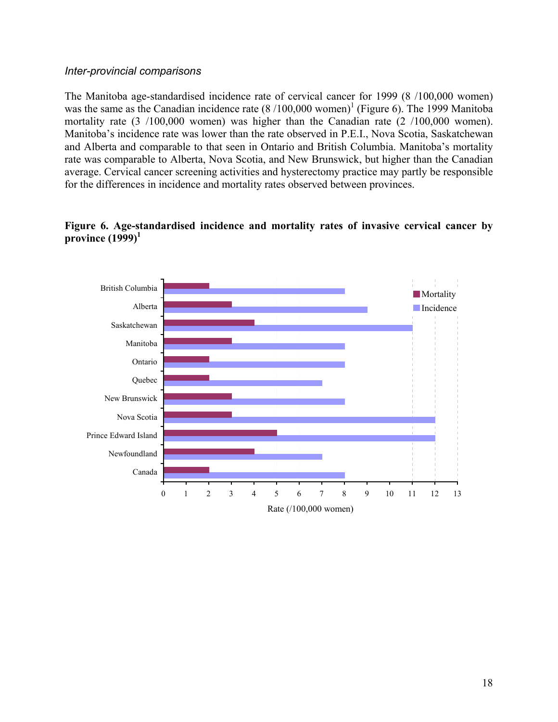#### *Inter-provincial comparisons*

The Manitoba age-standardised incidence rate of cervical cancer for 1999 (8 /100,000 women) was the same as the Canadian incidence rate  $(8/100,000$  women)<sup>1</sup> (Figure 6). The 1999 Manitoba mortality rate (3 /100,000 women) was higher than the Canadian rate (2 /100,000 women). Manitoba's incidence rate was lower than the rate observed in P.E.I., Nova Scotia, Saskatchewan and Alberta and comparable to that seen in Ontario and British Columbia. Manitoba's mortality rate was comparable to Alberta, Nova Scotia, and New Brunswick, but higher than the Canadian average. Cervical cancer screening activities and hysterectomy practice may partly be responsible for the differences in incidence and mortality rates observed between provinces.

#### **Figure 6. Age-standardised incidence and mortality rates of invasive cervical cancer by province (1999)<sup>1</sup>**

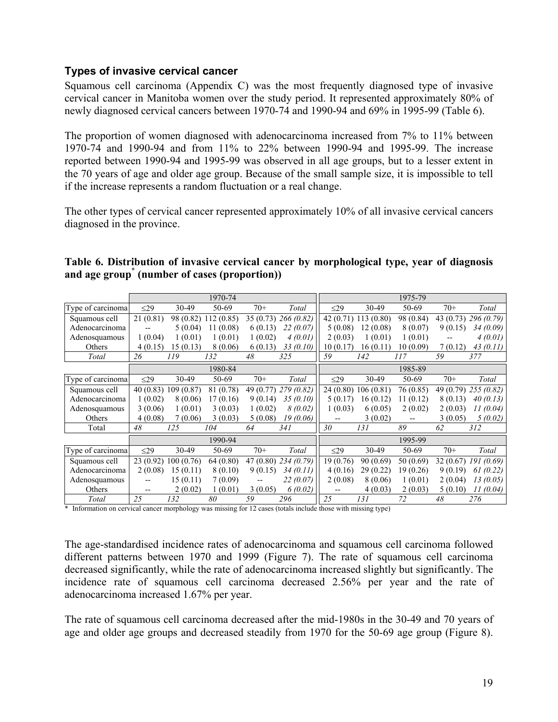# **Types of invasive cervical cancer**

Squamous cell carcinoma (Appendix C) was the most frequently diagnosed type of invasive cervical cancer in Manitoba women over the study period. It represented approximately 80% of newly diagnosed cervical cancers between 1970-74 and 1990-94 and 69% in 1995-99 (Table 6).

The proportion of women diagnosed with adenocarcinoma increased from 7% to 11% between 1970-74 and 1990-94 and from 11% to 22% between 1990-94 and 1995-99. The increase reported between 1990-94 and 1995-99 was observed in all age groups, but to a lesser extent in the 70 years of age and older age group. Because of the small sample size, it is impossible to tell if the increase represents a random fluctuation or a real change.

The other types of cervical cancer represented approximately 10% of all invasive cervical cancers diagnosed in the province.

|                                                           |  |  | Table 6. Distribution of invasive cervical cancer by morphological type, year of diagnosis |  |  |  |
|-----------------------------------------------------------|--|--|--------------------------------------------------------------------------------------------|--|--|--|
| and age group <sup>*</sup> (number of cases (proportion)) |  |  |                                                                                            |  |  |  |

|                   |                          |                      | 1970-74              |           |                        |           |                      | 1975-79   |           |                       |
|-------------------|--------------------------|----------------------|----------------------|-----------|------------------------|-----------|----------------------|-----------|-----------|-----------------------|
| Type of carcinoma | $\leq$ 29                | 30-49                | 50-69                | $70+$     | Total                  | $\leq$ 29 | 30-49                | 50-69     | $70+$     | Total                 |
| Squamous cell     | 21(0.81)                 |                      | 98 (0.82) 112 (0.85) |           | 35 (0.73) 266 (0.82)   |           | 42 (0.71) 113 (0.80) | 98 (0.84) |           | 43 (0.73) 296 (0.79)  |
| Adenocarcinoma    | $\overline{\phantom{m}}$ | 5(0.04)              | 11(0.08)             | 6(0.13)   | 22(0.07)               | 5(0.08)   | 12(0.08)             | 8(0.07)   | 9(0.15)   | 34(0.09)              |
| Adenosquamous     | 1(0.04)                  | 1(0.01)              | 1(0.01)              | 1(0.02)   | 4(0.01)                | 2(0.03)   | 1(0.01)              | 1(0.01)   |           | 4(0.01)               |
| Others            | 4(0.15)                  | 15(0.13)             | 8 (0.06)             | 6(0.13)   | 33(0.10)               | 10(0.17)  | 16(0.11)             | 10(0.09)  | 7(0.12)   | 43(0.11)              |
| Total             | 26                       | 119                  | 132                  | 48        | 325                    | 59        | 142                  | 117       | 59        | 377                   |
|                   |                          |                      | 1980-84              |           |                        |           |                      | 1985-89   |           |                       |
| Type of carcinoma | $\leq$ 29                | 30-49                | 50-69                | $70+$     | Total                  | $\leq$ 29 | 30-49                | 50-69     | $70+$     | Total                 |
| Squamous cell     |                          | 40 (0.83) 109 (0.87) | 81 (0.78)            | 49 (0.77) | 279(0.82)              |           | 24 (0.80) 106 (0.81) | 76 (0.85) | 49 (0.79) | 255(0.82)             |
| Adenocarcinoma    | 1(0.02)                  | 8(0.06)              | 17(0.16)             | 9(0.14)   | 35(0.10)               | 5(0.17)   | 16(0.12)             | 11(0.12)  | 8(0.13)   | 40(0.13)              |
| Adenosquamous     | 3(0.06)                  | 1(0.01)              | 3(0.03)              | 1(0.02)   | 8(0.02)                | 1(0.03)   | 6(0.05)              | 2(0.02)   | 2(0.03)   | 11(0.04)              |
| Others            | 4(0.08)                  | 7(0.06)              | 3(0.03)              | 5(0.08)   | 19(0.06)               |           | 3(0.02)              |           | 3(0.05)   | 5(0.02)               |
| Total             | 48                       | 125                  | 104                  | 64        | 341                    | 30        | 131                  | 89        | 62        | 312                   |
|                   |                          |                      | 1990-94              |           |                        |           |                      | 1995-99   |           |                       |
| Type of carcinoma | $\leq$ 29                | 30-49                | 50-69                | $70+$     | Total                  | $\leq$ 29 | 30-49                | 50-69     | $70+$     | Total                 |
| Squamous cell     |                          | 23 (0.92) 100 (0.76) | 64 (0.80)            |           | $47(0.80)$ $234(0.79)$ | 19(0.76)  | 90(0.69)             | 50(0.69)  |           | $32(0.67)$ 191 (0.69) |
| Adenocarcinoma    | 2(0.08)                  | 15(0.11)             | 8(0.10)              | 9(0.15)   | 34(0.11)               | 4(0.16)   | 29(0.22)             | 19(0.26)  | 9(0.19)   | 61(0.22)              |
| Adenosquamous     | $- -$                    | 15(0.11)             | 7(0.09)              |           | 22(0.07)               | 2(0.08)   | 8(0.06)              | 1(0.01)   | 2(0.04)   | 13(0.05)              |
| Others            | $\qquad \qquad -$        | 2(0.02)              | 1(0.01)              | 3(0.05)   | 6(0.02)                | --        | 4(0.03)              | 2(0.03)   | 5(0.10)   | 11(0.04)              |
| Total             | 25                       | 132                  | 80                   | 59        | 296                    | 25        | 131                  | 72        | 48        | 276                   |

\* Information on cervical cancer morphology was missing for 12 cases (totals include those with missing type)

The age-standardised incidence rates of adenocarcinoma and squamous cell carcinoma followed different patterns between 1970 and 1999 (Figure 7). The rate of squamous cell carcinoma decreased significantly, while the rate of adenocarcinoma increased slightly but significantly. The incidence rate of squamous cell carcinoma decreased 2.56% per year and the rate of adenocarcinoma increased 1.67% per year.

The rate of squamous cell carcinoma decreased after the mid-1980s in the 30-49 and 70 years of age and older age groups and decreased steadily from 1970 for the 50-69 age group (Figure 8).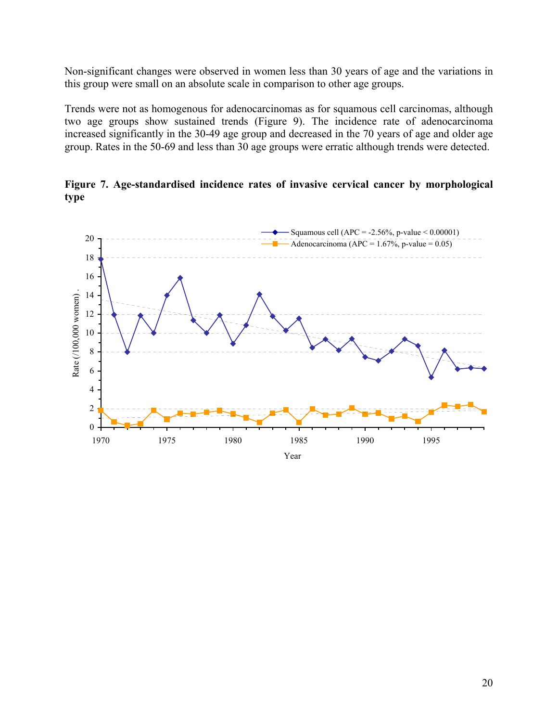Non-significant changes were observed in women less than 30 years of age and the variations in this group were small on an absolute scale in comparison to other age groups.

Trends were not as homogenous for adenocarcinomas as for squamous cell carcinomas, although two age groups show sustained trends (Figure 9). The incidence rate of adenocarcinoma increased significantly in the 30-49 age group and decreased in the 70 years of age and older age group. Rates in the 50-69 and less than 30 age groups were erratic although trends were detected.

**Figure 7. Age-standardised incidence rates of invasive cervical cancer by morphological type**

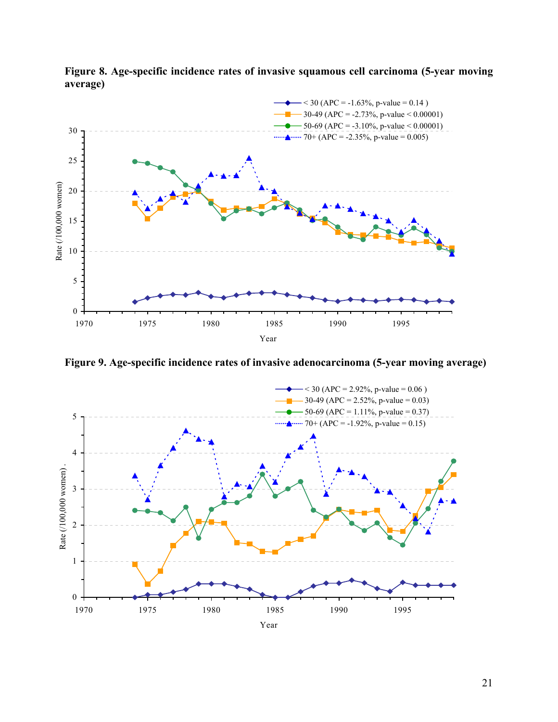

**Figure 8. Age-specific incidence rates of invasive squamous cell carcinoma (5-year moving average)**

**Figure 9. Age-specific incidence rates of invasive adenocarcinoma (5-year moving average)**

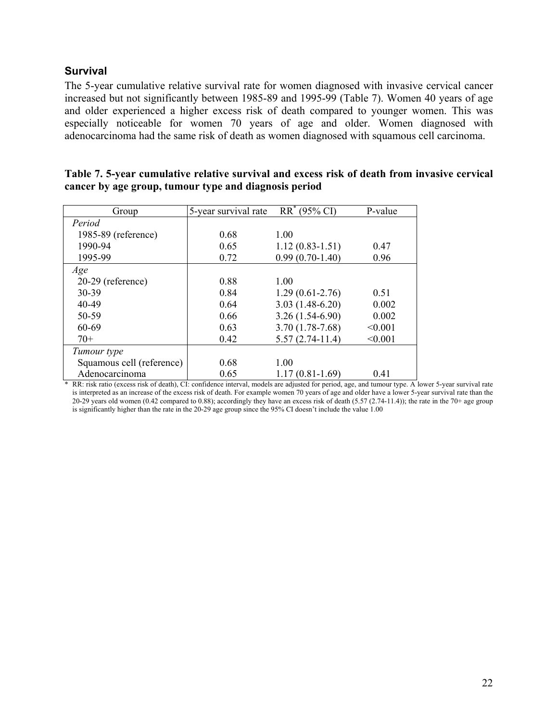## **Survival**

The 5-year cumulative relative survival rate for women diagnosed with invasive cervical cancer increased but not significantly between 1985-89 and 1995-99 (Table 7). Women 40 years of age and older experienced a higher excess risk of death compared to younger women. This was especially noticeable for women 70 years of age and older. Women diagnosed with adenocarcinoma had the same risk of death as women diagnosed with squamous cell carcinoma.

| Table 7. 5-year cumulative relative survival and excess risk of death from invasive cervical |
|----------------------------------------------------------------------------------------------|
| cancer by age group, tumour type and diagnosis period                                        |
|                                                                                              |

| Group                     | 5-year survival rate | $RR^*(95\% \text{ CI})$ | P-value |
|---------------------------|----------------------|-------------------------|---------|
| Period                    |                      |                         |         |
| 1985-89 (reference)       | 0.68                 | 1.00                    |         |
| 1990-94                   | 0.65                 | $1.12(0.83 - 1.51)$     | 0.47    |
| 1995-99                   | 0.72                 | $0.99(0.70-1.40)$       | 0.96    |
| Age                       |                      |                         |         |
| 20-29 (reference)         | 0.88                 | 1.00                    |         |
| 30-39                     | 0.84                 | $1.29(0.61 - 2.76)$     | 0.51    |
| 40-49                     | 0.64                 | $3.03(1.48-6.20)$       | 0.002   |
| 50-59                     | 0.66                 | $3.26(1.54-6.90)$       | 0.002   |
| 60-69                     | 0.63                 | $3.70(1.78-7.68)$       | < 0.001 |
| $70+$                     | 0.42                 | $5.57(2.74-11.4)$       | < 0.001 |
| Tumour type               |                      |                         |         |
| Squamous cell (reference) | 0.68                 | 1.00                    |         |
| Adenocarcinoma            | 0.65                 | $1.17(0.81-1.69)$       | 0.41    |

\* RR: risk ratio (excess risk of death), CI: confidence interval, models are adjusted for period, age, and tumour type. A lower 5-year survival rate is interpreted as an increase of the excess risk of death. For example women 70 years of age and older have a lower 5-year survival rate than the 20-29 years old women (0.42 compared to 0.88); accordingly they have an excess risk of death (5.57 (2.74-11.4)); the rate in the 70+ age group is significantly higher than the rate in the 20-29 age group since the 95% CI doesn't include the value 1.00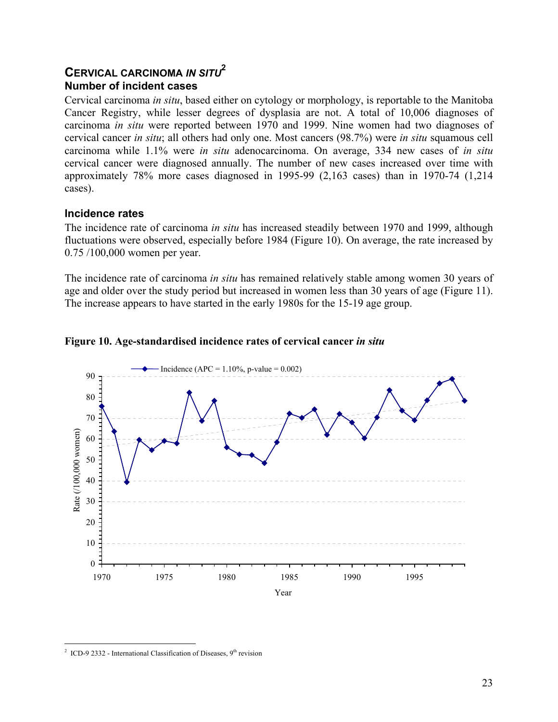# **CERVICAL CARCINOMA** *IN SITU***<sup>2</sup> Number of incident cases**

Cervical carcinoma *in situ*, based either on cytology or morphology, is reportable to the Manitoba Cancer Registry, while lesser degrees of dysplasia are not. A total of 10,006 diagnoses of carcinoma *in situ* were reported between 1970 and 1999. Nine women had two diagnoses of cervical cancer *in situ*; all others had only one. Most cancers (98.7%) were *in situ* squamous cell carcinoma while 1.1% were *in situ* adenocarcinoma. On average, 334 new cases of *in situ* cervical cancer were diagnosed annually. The number of new cases increased over time with approximately 78% more cases diagnosed in 1995-99 (2,163 cases) than in 1970-74 (1,214 cases).

## **Incidence rates**

The incidence rate of carcinoma *in situ* has increased steadily between 1970 and 1999, although fluctuations were observed, especially before 1984 (Figure 10). On average, the rate increased by 0.75 /100,000 women per year.

The incidence rate of carcinoma *in situ* has remained relatively stable among women 30 years of age and older over the study period but increased in women less than 30 years of age (Figure 11). The increase appears to have started in the early 1980s for the 15-19 age group.



#### **Figure 10. Age-standardised incidence rates of cervical cancer** *in situ*

 $\overline{a}$ 2 ICD-9 2332 - International Classification of Diseases,  $9<sup>th</sup>$  revision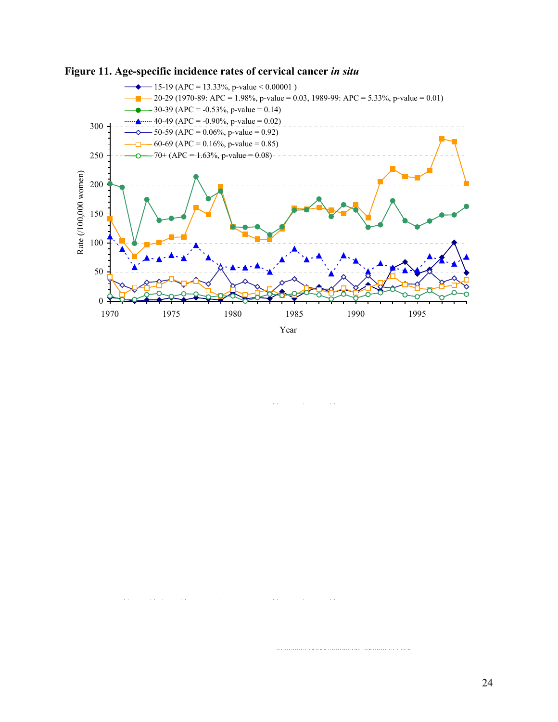



 $\sim$   $\sim$  $\mathbf{r}$ 

 $\hat{r}$  and  $\hat{r}$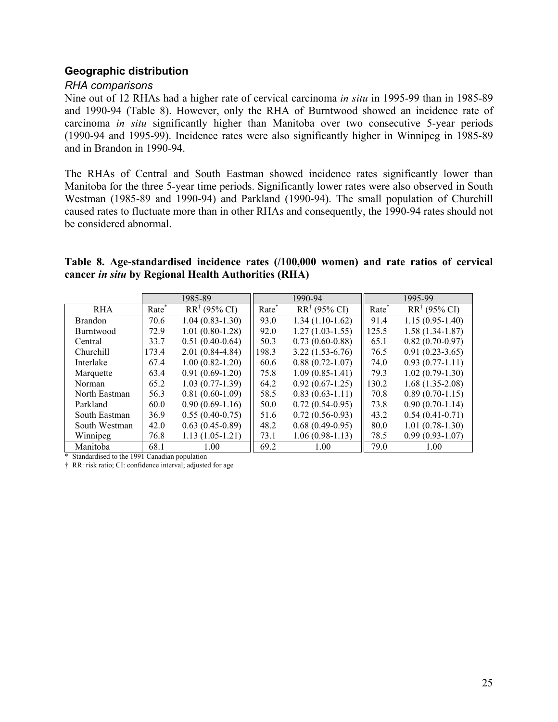## **Geographic distribution**

#### *RHA comparisons*

Nine out of 12 RHAs had a higher rate of cervical carcinoma *in situ* in 1995-99 than in 1985-89 and 1990-94 (Table 8). However, only the RHA of Burntwood showed an incidence rate of carcinoma *in situ* significantly higher than Manitoba over two consecutive 5-year periods (1990-94 and 1995-99). Incidence rates were also significantly higher in Winnipeg in 1985-89 and in Brandon in 1990-94.

The RHAs of Central and South Eastman showed incidence rates significantly lower than Manitoba for the three 5-year time periods. Significantly lower rates were also observed in South Westman (1985-89 and 1990-94) and Parkland (1990-94). The small population of Churchill caused rates to fluctuate more than in other RHAs and consequently, the 1990-94 rates should not be considered abnormal.

#### **Table 8. Age-standardised incidence rates (/100,000 women) and rate ratios of cervical cancer** *in situ* **by Regional Health Authorities (RHA)**

|                  |                   | 1985-89                 |                   | 1990-94                 |                   | 1995-99                 |  |  |
|------------------|-------------------|-------------------------|-------------------|-------------------------|-------------------|-------------------------|--|--|
| <b>RHA</b>       | Rate <sup>®</sup> | $RR^{\dagger}$ (95% CI) | Rate <sup>®</sup> | $RR^{\dagger}$ (95% CI) | Rate <sup>*</sup> | $RR^{\dagger}$ (95% CI) |  |  |
| <b>Brandon</b>   | 70.6              | $1.04(0.83 - 1.30)$     | 93.0              | $1.34(1.10-1.62)$       | 91.4              | $1.15(0.95-1.40)$       |  |  |
| <b>Burntwood</b> | 72.9              | $1.01(0.80-1.28)$       | 92.0              | $1.27(1.03-1.55)$       | 125.5             | $1.58(1.34-1.87)$       |  |  |
| Central          | 33.7              | $0.51(0.40-0.64)$       | 50.3              | $0.73(0.60-0.88)$       | 65.1              | $0.82(0.70-0.97)$       |  |  |
| Churchill        | 173.4             | $2.01(0.84-4.84)$       | 198.3             | $3.22(1.53-6.76)$       | 76.5              | $0.91(0.23-3.65)$       |  |  |
| Interlake        | 67.4              | $1.00(0.82 - 1.20)$     | 60.6              | $0.88(0.72 - 1.07)$     | 74.0              | $0.93(0.77-1.11)$       |  |  |
| Marquette        | 63.4              | $0.91(0.69-1.20)$       | 75.8              | $1.09(0.85 - 1.41)$     | 79.3              | $1.02(0.79-1.30)$       |  |  |
| Norman           | 65.2              | $1.03(0.77-1.39)$       | 64.2              | $0.92(0.67-1.25)$       | 130.2             | $1.68(1.35-2.08)$       |  |  |
| North Eastman    | 56.3              | $0.81(0.60-1.09)$       | 58.5              | $0.83(0.63 - 1.11)$     | 70.8              | $0.89(0.70-1.15)$       |  |  |
| Parkland         | 60.0              | $0.90(0.69-1.16)$       | 50.0              | $0.72(0.54-0.95)$       | 73.8              | $0.90(0.70-1.14)$       |  |  |
| South Eastman    | 36.9              | $0.55(0.40-0.75)$       | 51.6              | $0.72(0.56-0.93)$       | 43.2              | $0.54(0.41-0.71)$       |  |  |
| South Westman    | 42.0              | $0.63(0.45-0.89)$       | 48.2              | $0.68(0.49-0.95)$       | 80.0              | $1.01(0.78-1.30)$       |  |  |
| Winnipeg         | 76.8              | $1.13(1.05-1.21)$       | 73.1              | $1.06(0.98-1.13)$       | 78.5              | $0.99(0.93-1.07)$       |  |  |
| Manitoba         | 68.1              | 1.00                    | 69.2              | 1.00                    | 79.0              | 1.00                    |  |  |

\* Standardised to the 1991 Canadian population

† RR: risk ratio; CI: confidence interval; adjusted for age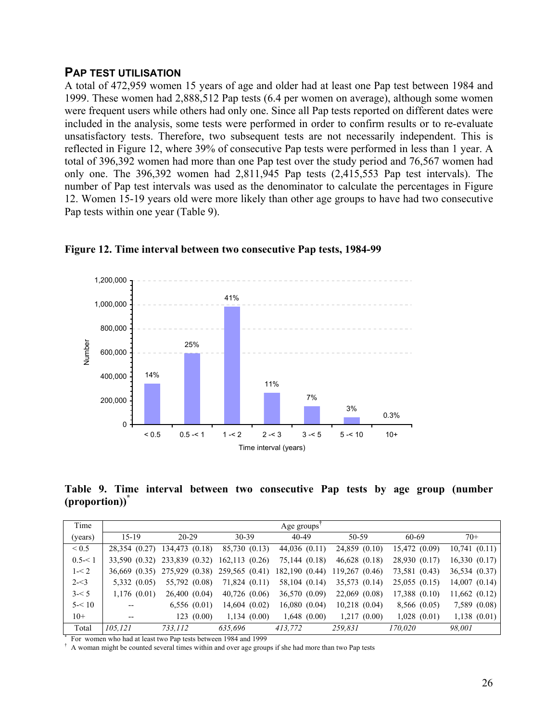# **PAP TEST UTILISATION**

A total of 472,959 women 15 years of age and older had at least one Pap test between 1984 and 1999. These women had 2,888,512 Pap tests (6.4 per women on average), although some women were frequent users while others had only one. Since all Pap tests reported on different dates were included in the analysis, some tests were performed in order to confirm results or to re-evaluate unsatisfactory tests. Therefore, two subsequent tests are not necessarily independent. This is reflected in Figure 12, where 39% of consecutive Pap tests were performed in less than 1 year. A total of 396,392 women had more than one Pap test over the study period and 76,567 women had only one. The 396,392 women had 2,811,945 Pap tests (2,415,553 Pap test intervals). The number of Pap test intervals was used as the denominator to calculate the percentages in Figure 12. Women 15-19 years old were more likely than other age groups to have had two consecutive Pap tests within one year (Table 9).



**Figure 12. Time interval between two consecutive Pap tests, 1984-99**

**Table 9. Time interval between two consecutive Pap tests by age group (number (proportion))\***

| Time            |                          |                |                   | Age groups'       |                   |                   |                   |
|-----------------|--------------------------|----------------|-------------------|-------------------|-------------------|-------------------|-------------------|
| (years)         | $15-19$                  | $20-29$        | $30 - 39$         | $40 - 49$         | 50-59             | 60-69             | $70+$             |
| ${}_{\leq 0.5}$ | 28,354 (0.27)            | 134,473 (0.18) | 85,730 (0.13)     | $44,036$ $(0.11)$ | 24,859 (0.10)     | 15,472 (0.09)     | 10,741(0.11)      |
| $0.5 - 1$       | 33,590 (0.32)            | 233,839 (0.32) | 162,113(0.26)     | 75,144 (0.18)     | $46,628$ $(0.18)$ | 28,930 (0.17)     | 16,330(0.17)      |
| $1 - 2$         | 36,669 (0.35)            | 275,929 (0.38) | 259,565 (0.41)    | 182,190 (0.44)    | 119,267 (0.46)    | 73,581 (0.43)     | 36,534 (0.37)     |
| $2 - 3$         | $5,332$ $(0.05)$         | 55,792 (0.08)  | 71,824 (0.11)     | 58,104 (0.14)     | 35,573 (0.14)     | 25,055(0.15)      | $14,007$ $(0.14)$ |
| $3 - 5$         | 1,176(0.01)              | 26,400(0.04)   | $40,726$ $(0.06)$ | 36,570 (0.09)     | 22,069 (0.08)     | $17,388$ $(0.10)$ | $11,662$ $(0.12)$ |
| $5 - 10$        | $- -$                    | 6,556(0.01)    | 14,604(0.02)      | 16,080(0.04)      | $10,218$ $(0.04)$ | 8,566 (0.05)      | 7,589 (0.08)      |
| $10+$           | $\overline{\phantom{m}}$ | 123(0.00)      | 1,134(0.00)       | $1,648$ $(0.00)$  | 1,217(0.00)       | $1,028$ $(0.01)$  | $1,138$ $(0.01)$  |
| Total           | 105,121                  | 733,112        | 635,696           | 413,772           | 259,831           | 170,020           | 98,001            |

\* For women who had at least two Pap tests between 1984 and 1999

 $\dagger$  A woman might be counted several times within and over age groups if she had more than two Pap tests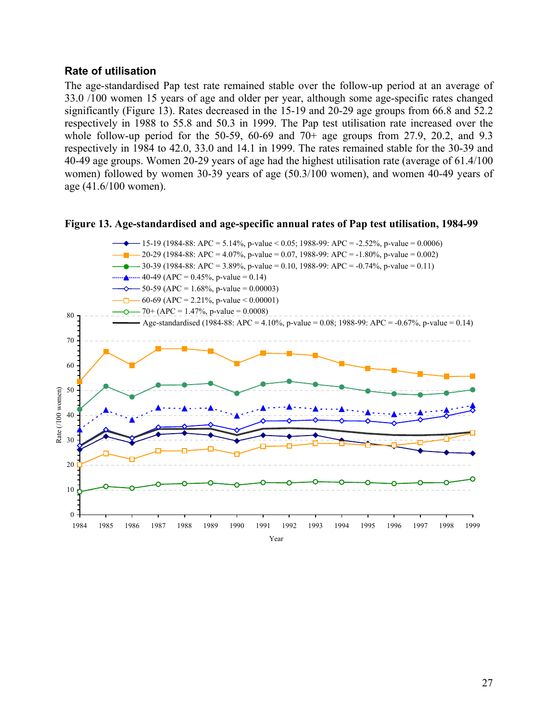## **Rate of utilisation**

The age-standardised Pap test rate remained stable over the follow-up period at an average of 33.0 /100 women 15 years of age and older per year, although some age-specific rates changed significantly (Figure 13). Rates decreased in the 15-19 and 20-29 age groups from 66.8 and 52.2 respectively in 1988 to 55.8 and 50.3 in 1999. The Pap test utilisation rate increased over the whole follow-up period for the 50-59, 60-69 and  $70+$  age groups from 27.9, 20.2, and 9.3 respectively in 1984 to 42.0, 33.0 and 14.1 in 1999. The rates remained stable for the 30-39 and 40-49 age groups. Women 20-29 years of age had the highest utilisation rate (average of 61.4/100 women) followed by women 30-39 years of age (50.3/100 women), and women 40-49 years of age (41.6/100 women).



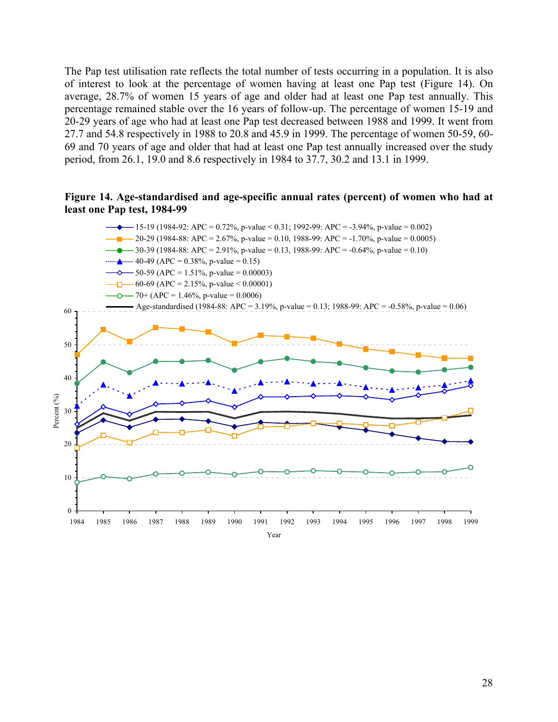The Pap test utilisation rate reflects the total number of tests occurring in a population. It is also of interest to look at the percentage of women having at least one Pap test (Figure 14). On average, 28.7% of women 15 years of age and older had at least one Pap test annually. This percentage remained stable over the 16 years of follow-up. The percentage of women 15-19 and 20-29 years of age who had at least one Pap test decreased between 1988 and 1999. It went from 27.7 and 54.8 respectively in 1988 to 20.8 and 45.9 in 1999. The percentage of women 50-59, 60- 69 and 70 years of age and older that had at least one Pap test annually increased over the study period, from 26.1, 19.0 and 8.6 respectively in 1984 to 37.7, 30.2 and 13.1 in 1999.

#### **Figure 14. Age-standardised and age-specific annual rates (percent) of women who had at least one Pap test, 1984-99**

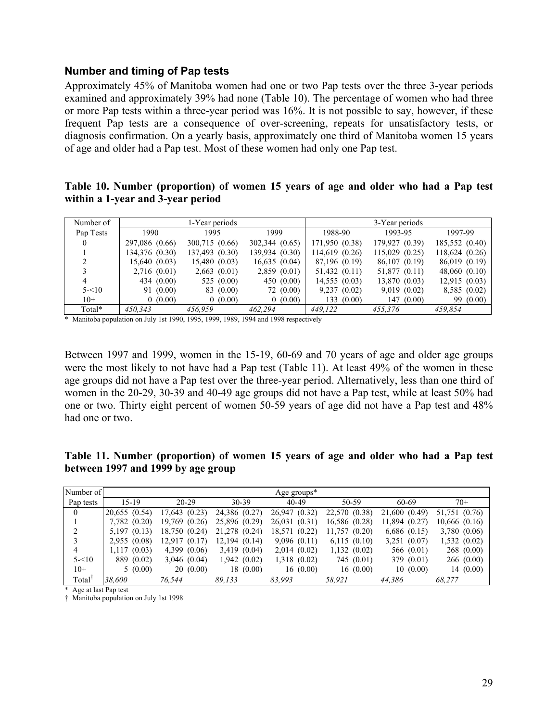#### **Number and timing of Pap tests**

Approximately 45% of Manitoba women had one or two Pap tests over the three 3-year periods examined and approximately 39% had none (Table 10). The percentage of women who had three or more Pap tests within a three-year period was 16%. It is not possible to say, however, if these frequent Pap tests are a consequence of over-screening, repeats for unsatisfactory tests, or diagnosis confirmation. On a yearly basis, approximately one third of Manitoba women 15 years of age and older had a Pap test. Most of these women had only one Pap test.

#### **Table 10. Number (proportion) of women 15 years of age and older who had a Pap test within a 1-year and 3-year period**

| Number of |                | 1-Year periods   |                | 3-Year periods    |                    |                |  |  |
|-----------|----------------|------------------|----------------|-------------------|--------------------|----------------|--|--|
| Pap Tests | 1990           | 1995             | 1999           | 1988-90           | 1993-95            | 1997-99        |  |  |
| 0         | 297,086 (0.66) | 300,715 (0.66)   | 302,344 (0.65) | 171,950 (0.38)    | 179,927 (0.39)     | 185,552 (0.40) |  |  |
|           | 134,376 (0.30) | 137,493 (0.30)   | 139,934 (0.30) | 114,619 (0.26)    | $115,029$ $(0.25)$ | 118,624 (0.26) |  |  |
|           | 15,640(0.03)   | 15,480 (0.03)    | 16,635(0.04)   | 87,196 (0.19)     | 86,107 (0.19)      | 86,019 (0.19)  |  |  |
|           | 2,716(0.01)    | $2,663$ $(0.01)$ | 2,859(0.01)    | $51,432$ $(0.11)$ | 51,877 (0.11)      | 48,060(0.10)   |  |  |
| 4         | 434 (0.00)     | 525 $(0.00)$     | 450 $(0.00)$   | 14,555(0.03)      | 13,870 (0.03)      | 12,915(0.03)   |  |  |
| $5 - 10$  | 91 (0.00)      | 83 (0.00)        | 72 (0.00)      | 9,237(0.02)       | 9,019(0.02)        | 8,585 (0.02)   |  |  |
| $10+$     | 0(0.00)        | 0(0.00)          | 0(0.00)        | 133(0.00)         | 147(0.00)          | 99 (0.00)      |  |  |
| Total*    | 450.343        | 456.959          | 462.294        | 449.122           | 455.376            | 459.854        |  |  |

\* Manitoba population on July 1st 1990, 1995, 1999, 1989, 1994 and 1998 respectively

Between 1997 and 1999, women in the 15-19, 60-69 and 70 years of age and older age groups were the most likely to not have had a Pap test (Table 11). At least 49% of the women in these age groups did not have a Pap test over the three-year period. Alternatively, less than one third of women in the 20-29, 30-39 and 40-49 age groups did not have a Pap test, while at least 50% had one or two. Thirty eight percent of women 50-59 years of age did not have a Pap test and 48% had one or two.

**Table 11. Number (proportion) of women 15 years of age and older who had a Pap test between 1997 and 1999 by age group**

| Number of          |                   |                  |                  | Age groups $*$   |                  |                  |                   |
|--------------------|-------------------|------------------|------------------|------------------|------------------|------------------|-------------------|
| Pap tests          | $15-19$           | $20-29$          | $30 - 39$        | 40-49            | 50-59            | 60-69            | $70+$             |
| $\mathbf{0}$       | $20,655$ $(0.54)$ | 17,643 (0.23)    | 24,386 (0.27)    | 26,947 (0.32)    | 22,570 (0.38)    | 21,600 (0.49)    | 51,751 (0.76)     |
|                    | 7,782 (0.20)      | 19,769 (0.26)    | 25,896 (0.29)    | 26,031 (0.31)    | 16,586 (0.28)    | 11,894 (0.27)    | $10,666$ $(0.16)$ |
| 2                  | $5,197$ $(0.13)$  | 18,750 (0.24)    | 21,278 (0.24)    | 18,571 (0.22)    | 11,757(0.20)     | $6,686$ $(0.15)$ | 3,780(0.06)       |
| 3                  | 2,955(0.08)       | 12,917(0.17)     | 12,194(0.14)     | 9,096(0.11)      | $6,115$ $(0.10)$ | $3,251$ $(0.07)$ | 1,532(0.02)       |
| 4                  | 1,117(0.03)       | 4,399(0.06)      | $3,419$ $(0.04)$ | 2,014(0.02)      | 1,132(0.02)      | 566 (0.01)       | 268(0.00)         |
| $5 - 10$           | 889 (0.02)        | $3,046$ $(0.04)$ | 1,942(0.02)      | $1,318$ $(0.02)$ | 745 (0.01)       | 379 (0.01)       | 266(0.00)         |
| $10+$              | 5(0.00)           | 20(0.00)         | 18(0.00)         | 16(0.00)         | 16(0.00)         | 10(0.00)         | 14(0.00)          |
| Total <sup>†</sup> | 38.600            | 76,544           | 89.133           | 83.993           | 58.921           | 44,386           | 68.277            |

\* Age at last Pap test

† Manitoba population on July 1st 1998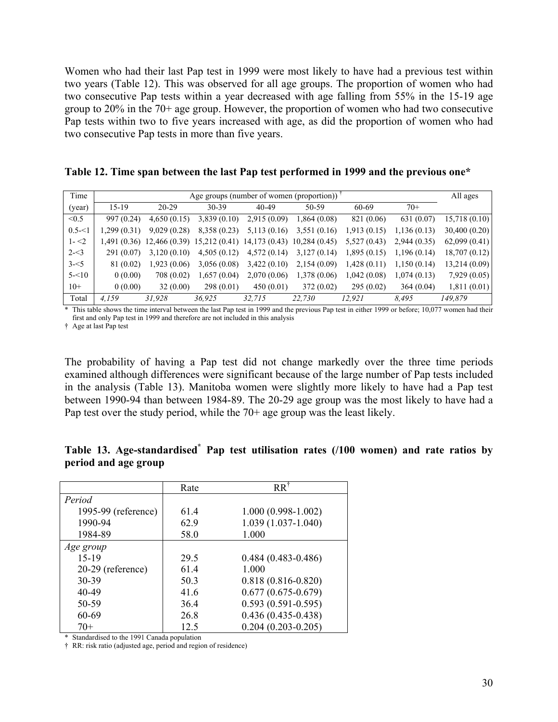Women who had their last Pap test in 1999 were most likely to have had a previous test within two years (Table 12). This was observed for all age groups. The proportion of women who had two consecutive Pap tests within a year decreased with age falling from 55% in the 15-19 age group to 20% in the 70+ age group. However, the proportion of women who had two consecutive Pap tests within two to five years increased with age, as did the proportion of women who had two consecutive Pap tests in more than five years.

**Table 12. Time span between the last Pap test performed in 1999 and the previous one\***

|           |                                                     |                                                                      |              |             |              |             |             | All ages      |  |
|-----------|-----------------------------------------------------|----------------------------------------------------------------------|--------------|-------------|--------------|-------------|-------------|---------------|--|
| Time      | Age groups (number of women (proportion)) $\bar{ }$ |                                                                      |              |             |              |             |             |               |  |
| (year)    | $15-19$                                             | $20 - 29$                                                            | $30 - 39$    | 40-49       | 50-59        | 60-69       | $70+$       |               |  |
| < 0.5     | 997 (0.24)                                          | 4,650(0.15)                                                          | 3,839(0.10)  | 2,915(0.09) | 1,864(0.08)  | 821 (0.06)  | 631 (0.07)  | 15,718(0.10)  |  |
| $0.5 - 1$ | 1,299 (0.31)                                        | 9,029(0.28)                                                          | 8,358 (0.23) | 5,113(0.16) | 3,551(0.16)  | 1,913(0.15) | 1,136(0.13) | 30,400 (0.20) |  |
| $1 - 2$   |                                                     | 1,491 (0.36) 12,466 (0.39) 15,212 (0.41) 14,173 (0.43) 10,284 (0.45) |              |             |              | 5,527(0.43) | 2,944(0.35) | 62,099(0.41)  |  |
| $2 - 3$   | 291 (0.07)                                          | 3,120(0.10)                                                          | 4,505(0.12)  | 4,572(0.14) | 3,127(0.14)  | 1,895(0.15) | 1,196(0.14) | 18,707 (0.12) |  |
| $3 - 5$   | 81 (0.02)                                           | 1,923(0.06)                                                          | 3,056(0.08)  | 3,422(0.10) | 2,154(0.09)  | 1,428(0.11) | 1,150(0.14) | 13,214 (0.09) |  |
| $5 - 10$  | 0(0.00)                                             | 708 (0.02)                                                           | 1,657(0.04)  | 2,070(0.06) | 1,378 (0.06) | 1,042(0.08) | 1,074(0.13) | 7,929(0.05)   |  |
| $10+$     | 0(0.00)                                             | 32(0.00)                                                             | 298(0.01)    | 450(0.01)   | 372(0.02)    | 295(0.02)   | 364(0.04)   | 1,811(0.01)   |  |
| Total     | 4.159                                               | 31,928                                                               | 36.925       | 32.715      | 22.730       | 12.921      | 8.495       | 149.879       |  |

\* This table shows the time interval between the last Pap test in 1999 and the previous Pap test in either 1999 or before; 10,077 women had their first and only Pap test in 1999 and therefore are not included in this analysis

† Age at last Pap test

The probability of having a Pap test did not change markedly over the three time periods examined although differences were significant because of the large number of Pap tests included in the analysis (Table 13). Manitoba women were slightly more likely to have had a Pap test between 1990-94 than between 1984-89. The 20-29 age group was the most likely to have had a Pap test over the study period, while the 70+ age group was the least likely.

| Table 13. Age-standardised <sup>*</sup> Pap test utilisation rates (/100 women) and rate ratios by |  |  |  |  |  |
|----------------------------------------------------------------------------------------------------|--|--|--|--|--|
| period and age group                                                                               |  |  |  |  |  |

|                     | Rate | $RR^{\dagger}$         |
|---------------------|------|------------------------|
| Period              |      |                        |
| 1995-99 (reference) | 61.4 | $1.000(0.998-1.002)$   |
| 1990-94             | 629  | 1.039 (1.037-1.040)    |
| 1984-89             | 58.0 | 1.000                  |
| Age group           |      |                        |
| $15-19$             | 29.5 | $0.484(0.483 - 0.486)$ |
| 20-29 (reference)   | 614  | 1.000                  |
| 30-39               | 50.3 | $0.818(0.816 - 0.820)$ |
| $40 - 49$           | 41.6 | $0.677(0.675-0.679)$   |
| 50-59               | 36.4 | $0.593(0.591 - 0.595)$ |
| 60-69               | 26.8 | $0.436(0.435-0.438)$   |
| $70+$               | 12.5 | $0.204(0.203 - 0.205)$ |

\* Standardised to the 1991 Canada population

† RR: risk ratio (adjusted age, period and region of residence)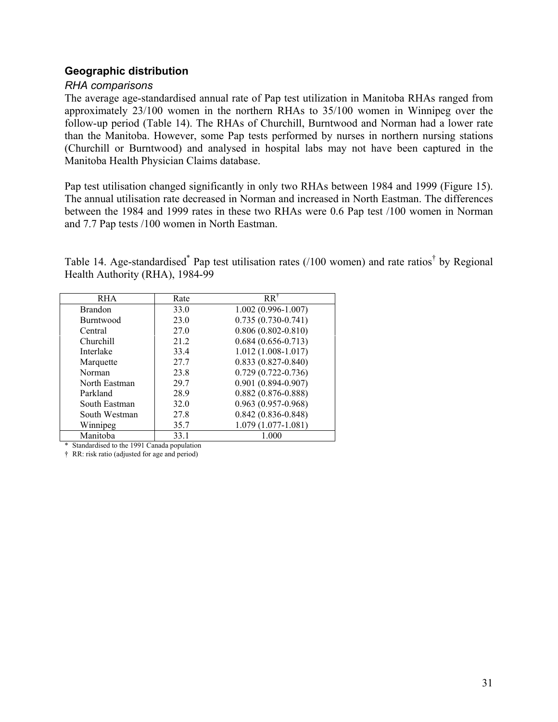## **Geographic distribution**

#### *RHA comparisons*

The average age-standardised annual rate of Pap test utilization in Manitoba RHAs ranged from approximately 23/100 women in the northern RHAs to 35/100 women in Winnipeg over the follow-up period (Table 14). The RHAs of Churchill, Burntwood and Norman had a lower rate than the Manitoba. However, some Pap tests performed by nurses in northern nursing stations (Churchill or Burntwood) and analysed in hospital labs may not have been captured in the Manitoba Health Physician Claims database.

Pap test utilisation changed significantly in only two RHAs between 1984 and 1999 (Figure 15). The annual utilisation rate decreased in Norman and increased in North Eastman. The differences between the 1984 and 1999 rates in these two RHAs were 0.6 Pap test /100 women in Norman and 7.7 Pap tests /100 women in North Eastman.

Table 14. Age-standardised<sup>\*</sup> Pap test utilisation rates (/100 women) and rate ratios<sup>†</sup> by Regional Health Authority (RHA), 1984-99

| <b>RHA</b>       | Rate | $RR^{\dagger}$         |
|------------------|------|------------------------|
| <b>Brandon</b>   | 33.0 | $1.002(0.996 - 1.007)$ |
| <b>Burntwood</b> | 23.0 | $0.735(0.730-0.741)$   |
| Central          | 27.0 | $0.806(0.802 - 0.810)$ |
| Churchill        | 21.2 | $0.684(0.656 - 0.713)$ |
| Interlake        | 33.4 | $1.012(1.008-1.017)$   |
| Marquette        | 27.7 | $0.833(0.827 - 0.840)$ |
| Norman           | 23.8 | $0.729(0.722 - 0.736)$ |
| North Eastman    | 29.7 | $0.901(0.894 - 0.907)$ |
| Parkland         | 28.9 | $0.882(0.876 - 0.888)$ |
| South Eastman    | 32.0 | $0.963(0.957-0.968)$   |
| South Westman    | 27.8 | $0.842(0.836 - 0.848)$ |
| Winnipeg         | 35.7 | $1.079(1.077-1.081)$   |
| Manitoba         | 33.1 | 1.000                  |

\* Standardised to the 1991 Canada population

† RR: risk ratio (adjusted for age and period)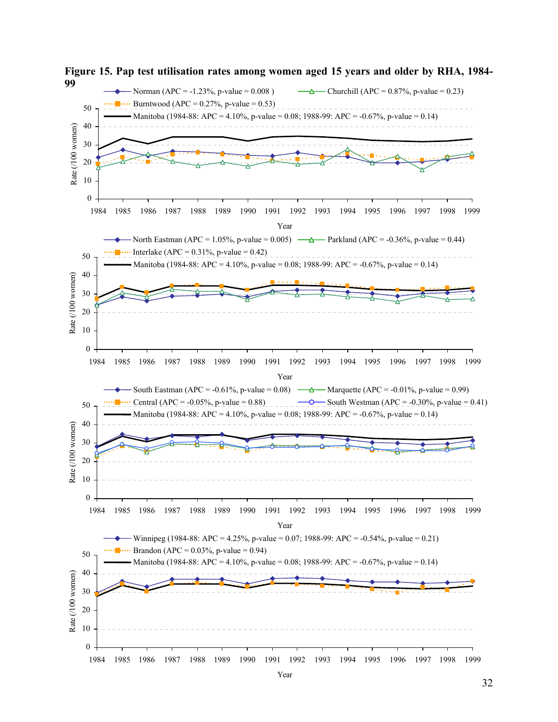

Year

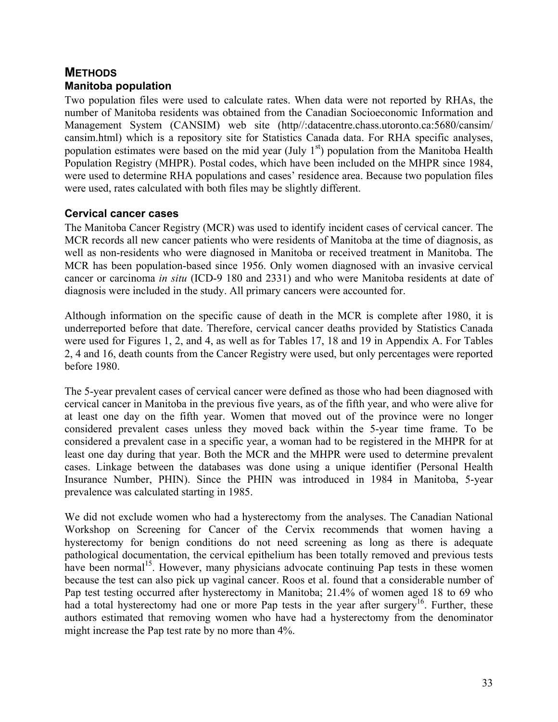# **METHODS Manitoba population**

Two population files were used to calculate rates. When data were not reported by RHAs, the number of Manitoba residents was obtained from the Canadian Socioeconomic Information and Management System (CANSIM) web site (http//:datacentre.chass.utoronto.ca:5680/cansim/ cansim.html) which is a repository site for Statistics Canada data. For RHA specific analyses, population estimates were based on the mid year (July  $1<sup>st</sup>$ ) population from the Manitoba Health Population Registry (MHPR). Postal codes, which have been included on the MHPR since 1984, were used to determine RHA populations and cases' residence area. Because two population files were used, rates calculated with both files may be slightly different.

# **Cervical cancer cases**

The Manitoba Cancer Registry (MCR) was used to identify incident cases of cervical cancer. The MCR records all new cancer patients who were residents of Manitoba at the time of diagnosis, as well as non-residents who were diagnosed in Manitoba or received treatment in Manitoba. The MCR has been population-based since 1956. Only women diagnosed with an invasive cervical cancer or carcinoma *in situ* (ICD-9 180 and 2331) and who were Manitoba residents at date of diagnosis were included in the study. All primary cancers were accounted for.

Although information on the specific cause of death in the MCR is complete after 1980, it is underreported before that date. Therefore, cervical cancer deaths provided by Statistics Canada were used for Figures 1, 2, and 4, as well as for Tables 17, 18 and 19 in Appendix A. For Tables 2, 4 and 16, death counts from the Cancer Registry were used, but only percentages were reported before 1980.

The 5-year prevalent cases of cervical cancer were defined as those who had been diagnosed with cervical cancer in Manitoba in the previous five years, as of the fifth year, and who were alive for at least one day on the fifth year. Women that moved out of the province were no longer considered prevalent cases unless they moved back within the 5-year time frame. To be considered a prevalent case in a specific year, a woman had to be registered in the MHPR for at least one day during that year. Both the MCR and the MHPR were used to determine prevalent cases. Linkage between the databases was done using a unique identifier (Personal Health Insurance Number, PHIN). Since the PHIN was introduced in 1984 in Manitoba, 5-year prevalence was calculated starting in 1985.

We did not exclude women who had a hysterectomy from the analyses. The Canadian National Workshop on Screening for Cancer of the Cervix recommends that women having a hysterectomy for benign conditions do not need screening as long as there is adequate pathological documentation, the cervical epithelium has been totally removed and previous tests have been normal<sup>15</sup>. However, many physicians advocate continuing Pap tests in these women because the test can also pick up vaginal cancer. Roos et al. found that a considerable number of Pap test testing occurred after hysterectomy in Manitoba; 21.4% of women aged 18 to 69 who had a total hysterectomy had one or more Pap tests in the year after surgery<sup>16</sup>. Further, these authors estimated that removing women who have had a hysterectomy from the denominator might increase the Pap test rate by no more than 4%.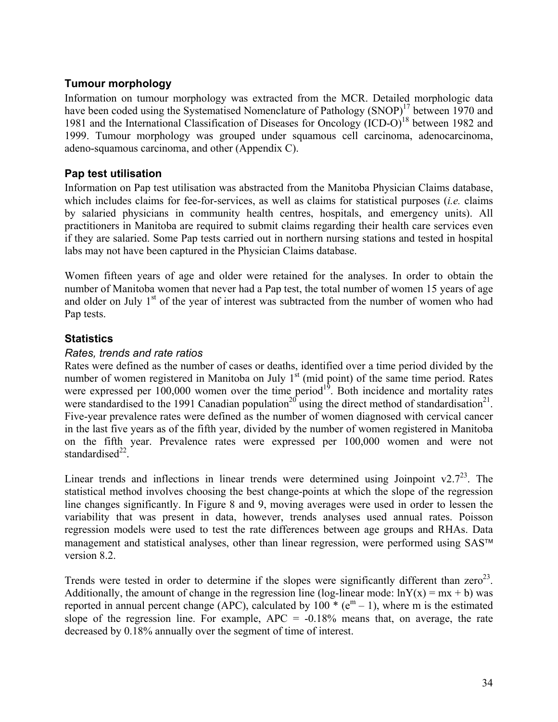## **Tumour morphology**

Information on tumour morphology was extracted from the MCR. Detailed morphologic data have been coded using the Systematised Nomenclature of Pathology (SNOP)<sup>17</sup> between 1970 and 1981 and the International Classification of Diseases for Oncology  $(ICD-O)^{18}$  between 1982 and 1999. Tumour morphology was grouped under squamous cell carcinoma, adenocarcinoma, adeno-squamous carcinoma, and other (Appendix C).

## **Pap test utilisation**

Information on Pap test utilisation was abstracted from the Manitoba Physician Claims database, which includes claims for fee-for-services, as well as claims for statistical purposes (*i.e.* claims by salaried physicians in community health centres, hospitals, and emergency units). All practitioners in Manitoba are required to submit claims regarding their health care services even if they are salaried. Some Pap tests carried out in northern nursing stations and tested in hospital labs may not have been captured in the Physician Claims database.

Women fifteen years of age and older were retained for the analyses. In order to obtain the number of Manitoba women that never had a Pap test, the total number of women 15 years of age and older on July  $1<sup>st</sup>$  of the year of interest was subtracted from the number of women who had Pap tests.

# **Statistics**

## *Rates, trends and rate ratios*

Rates were defined as the number of cases or deaths, identified over a time period divided by the number of women registered in Manitoba on July  $1<sup>st</sup>$  (mid point) of the same time period. Rates were expressed per  $100,000$  women over the time period<sup>19</sup>. Both incidence and mortality rates were standardised to the 1991 Canadian population<sup>20</sup> using the direct method of standardisation<sup>21</sup>. Five-year prevalence rates were defined as the number of women diagnosed with cervical cancer in the last five years as of the fifth year, divided by the number of women registered in Manitoba on the fifth year. Prevalence rates were expressed per 100,000 women and were not standardised $^{22}$ .

Linear trends and inflections in linear trends were determined using Joinpoint  $v^2 \cdot 7^{23}$ . The statistical method involves choosing the best change-points at which the slope of the regression line changes significantly. In Figure 8 and 9, moving averages were used in order to lessen the variability that was present in data, however, trends analyses used annual rates. Poisson regression models were used to test the rate differences between age groups and RHAs. Data management and statistical analyses, other than linear regression, were performed using SAS<sup>™</sup> version 8.2.

Trends were tested in order to determine if the slopes were significantly different than  $zero^{23}$ . Additionally, the amount of change in the regression line (log-linear mode:  $lnY(x) = mx + b$ ) was reported in annual percent change (APC), calculated by  $100 \times (e^m - 1)$ , where m is the estimated slope of the regression line. For example,  $APC = -0.18\%$  means that, on average, the rate decreased by 0.18% annually over the segment of time of interest.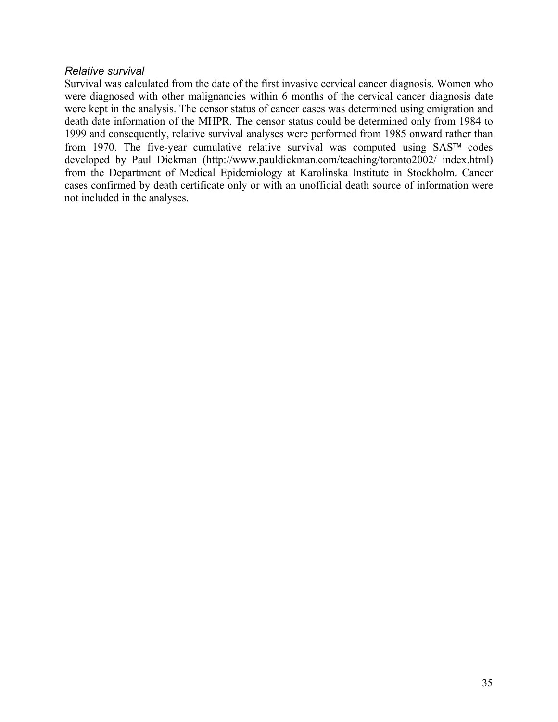#### *Relative survival*

Survival was calculated from the date of the first invasive cervical cancer diagnosis. Women who were diagnosed with other malignancies within 6 months of the cervical cancer diagnosis date were kept in the analysis. The censor status of cancer cases was determined using emigration and death date information of the MHPR. The censor status could be determined only from 1984 to 1999 and consequently, relative survival analyses were performed from 1985 onward rather than from 1970. The five-year cumulative relative survival was computed using  $SAS^{TM}$  codes developed by Paul Dickman (http://www.pauldickman.com/teaching/toronto2002/ index.html) from the Department of Medical Epidemiology at Karolinska Institute in Stockholm. Cancer cases confirmed by death certificate only or with an unofficial death source of information were not included in the analyses.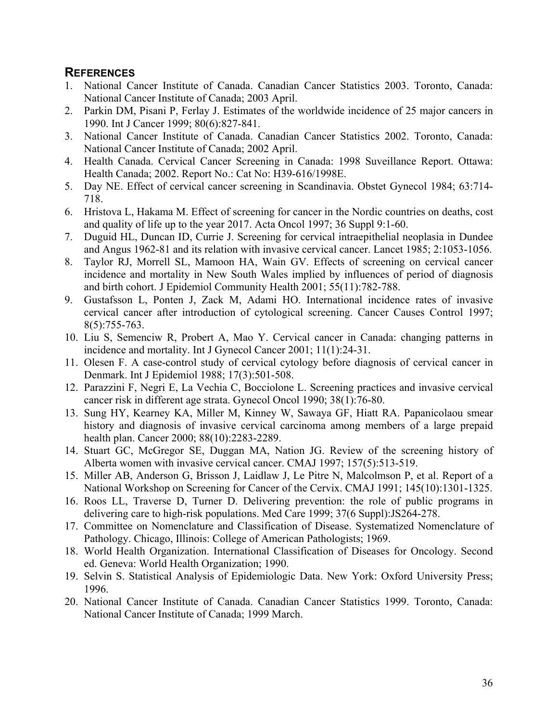# **REFERENCES**

- 1. National Cancer Institute of Canada. Canadian Cancer Statistics 2003. Toronto, Canada: National Cancer Institute of Canada; 2003 April.
- 2. Parkin DM, Pisani P, Ferlay J. Estimates of the worldwide incidence of 25 major cancers in 1990. Int J Cancer 1999; 80(6):827-841.
- 3. National Cancer Institute of Canada. Canadian Cancer Statistics 2002. Toronto, Canada: National Cancer Institute of Canada; 2002 April.
- 4. Health Canada. Cervical Cancer Screening in Canada: 1998 Suveillance Report. Ottawa: Health Canada; 2002. Report No.: Cat No: H39-616/1998E.
- 5. Day NE. Effect of cervical cancer screening in Scandinavia. Obstet Gynecol 1984; 63:714- 718.
- 6. Hristova L, Hakama M. Effect of screening for cancer in the Nordic countries on deaths, cost and quality of life up to the year 2017. Acta Oncol 1997; 36 Suppl 9:1-60.
- 7. Duguid HL, Duncan ID, Currie J. Screening for cervical intraepithelial neoplasia in Dundee and Angus 1962-81 and its relation with invasive cervical cancer. Lancet 1985; 2:1053-1056.
- 8. Taylor RJ, Morrell SL, Mamoon HA, Wain GV. Effects of screening on cervical cancer incidence and mortality in New South Wales implied by influences of period of diagnosis and birth cohort. J Epidemiol Community Health 2001; 55(11):782-788.
- 9. Gustafsson L, Ponten J, Zack M, Adami HO. International incidence rates of invasive cervical cancer after introduction of cytological screening. Cancer Causes Control 1997; 8(5):755-763.
- 10. Liu S, Semenciw R, Probert A, Mao Y. Cervical cancer in Canada: changing patterns in incidence and mortality. Int J Gynecol Cancer 2001; 11(1):24-31.
- 11. Olesen F. A case-control study of cervical cytology before diagnosis of cervical cancer in Denmark. Int J Epidemiol 1988; 17(3):501-508.
- 12. Parazzini F, Negri E, La Vechia C, Bocciolone L. Screening practices and invasive cervical cancer risk in different age strata. Gynecol Oncol 1990; 38(1):76-80.
- 13. Sung HY, Kearney KA, Miller M, Kinney W, Sawaya GF, Hiatt RA. Papanicolaou smear history and diagnosis of invasive cervical carcinoma among members of a large prepaid health plan. Cancer 2000; 88(10):2283-2289.
- 14. Stuart GC, McGregor SE, Duggan MA, Nation JG. Review of the screening history of Alberta women with invasive cervical cancer. CMAJ 1997; 157(5):513-519.
- 15. Miller AB, Anderson G, Brisson J, Laidlaw J, Le Pitre N, Malcolmson P, et al. Report of a National Workshop on Screening for Cancer of the Cervix. CMAJ 1991; 145(10):1301-1325.
- 16. Roos LL, Traverse D, Turner D. Delivering prevention: the role of public programs in delivering care to high-risk populations. Med Care 1999; 37(6 Suppl):JS264-278.
- 17. Committee on Nomenclature and Classification of Disease. Systematized Nomenclature of Pathology. Chicago, Illinois: College of American Pathologists; 1969.
- 18. World Health Organization. International Classification of Diseases for Oncology. Second ed. Geneva: World Health Organization; 1990.
- 19. Selvin S. Statistical Analysis of Epidemiologic Data. New York: Oxford University Press; 1996.
- 20. National Cancer Institute of Canada. Canadian Cancer Statistics 1999. Toronto, Canada: National Cancer Institute of Canada; 1999 March.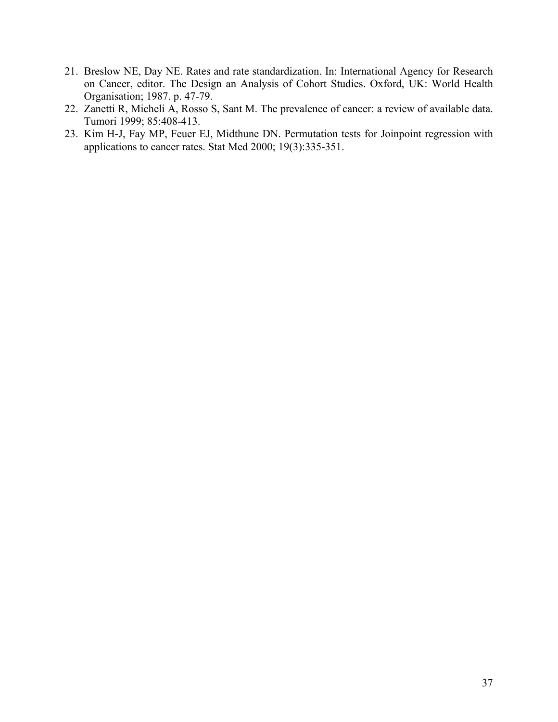- 21. Breslow NE, Day NE. Rates and rate standardization. In: International Agency for Research on Cancer, editor. The Design an Analysis of Cohort Studies. Oxford, UK: World Health Organisation; 1987. p. 47-79.
- 22. Zanetti R, Micheli A, Rosso S, Sant M. The prevalence of cancer: a review of available data. Tumori 1999; 85:408-413.
- 23. Kim H-J, Fay MP, Feuer EJ, Midthune DN. Permutation tests for Joinpoint regression with applications to cancer rates. Stat Med 2000; 19(3):335-351.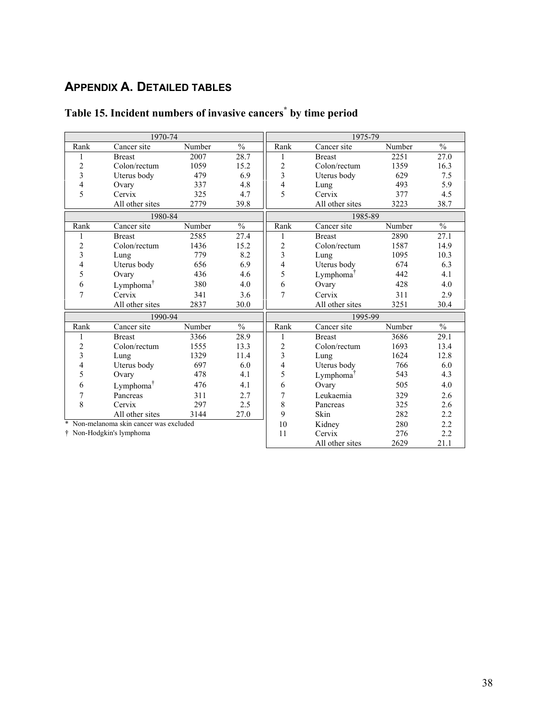# **APPENDIX A. DETAILED TABLES**

|                         | 1970-74                               |        |               | 1975-79                 |                       |        |               |  |
|-------------------------|---------------------------------------|--------|---------------|-------------------------|-----------------------|--------|---------------|--|
| Rank                    | Cancer site                           | Number | $\frac{0}{0}$ | Rank                    | Cancer site           | Number | $\frac{0}{0}$ |  |
| 1                       | <b>Breast</b>                         | 2007   | 28.7          | 1                       | <b>Breast</b>         | 2251   | 27.0          |  |
| $\overline{c}$          | Colon/rectum                          | 1059   | 15.2          | $\overline{\mathbf{c}}$ | Colon/rectum          | 1359   | 16.3          |  |
| 3                       | Uterus body                           | 479    | 6.9           | 3                       | Uterus body           | 629    | 7.5           |  |
| 4                       | Ovary                                 | 337    | 4.8           | 4                       | Lung                  | 493    | 5.9           |  |
| 5                       | Cervix                                | 325    | 4.7           | 5                       | Cervix                | 377    | 4.5           |  |
|                         | All other sites                       | 2779   | 39.8          |                         | All other sites       | 3223   | 38.7          |  |
|                         | 1980-84                               |        |               |                         | 1985-89               |        |               |  |
| Rank                    | Cancer site                           | Number | $\frac{0}{0}$ | Rank                    | Cancer site           | Number | $\frac{0}{0}$ |  |
| 1                       | <b>Breast</b>                         | 2585   | 27.4          | 1                       | <b>Breast</b>         | 2890   | 27.1          |  |
| $\overline{\mathbf{c}}$ | Colon/rectum                          | 1436   | 15.2          | $\overline{c}$          | Colon/rectum          | 1587   | 14.9          |  |
| 3                       | Lung                                  | 779    | 8.2           | $\overline{\mathbf{3}}$ | Lung                  | 1095   | 10.3          |  |
| 4                       | Uterus body                           | 656    | 6.9           | 4                       | Uterus body           | 674    | 6.3           |  |
| 5                       | Ovary                                 | 436    | 4.6           | 5                       | Lymphoma <sup>T</sup> | 442    | 4.1           |  |
| 6                       | Lymphoma <sup>†</sup>                 | 380    | 4.0           | 6                       | Ovary                 | 428    | 4.0           |  |
| 7                       | Cervix                                | 341    | 3.6           | $\overline{7}$          | Cervix                | 311    | 2.9           |  |
|                         | All other sites                       | 2837   | 30.0          |                         | All other sites       | 3251   | 30.4          |  |
|                         | 1990-94                               |        |               | 1995-99                 |                       |        |               |  |
| Rank                    | Cancer site                           | Number | $\frac{0}{0}$ | Rank                    | Cancer site           | Number | $\frac{0}{0}$ |  |
| 1                       | <b>Breast</b>                         | 3366   | 28.9          | 1                       | <b>Breast</b>         | 3686   | 29.1          |  |
| $\overline{c}$          | Colon/rectum                          | 1555   | 13.3          | $\overline{c}$          | Colon/rectum          | 1693   | 13.4          |  |
| 3                       | Lung                                  | 1329   | 11.4          | 3                       | Lung                  | 1624   | 12.8          |  |
| 4                       | Uterus body                           | 697    | 6.0           | 4                       | Uterus body           | 766    | 6.0           |  |
| 5                       | Ovary                                 | 478    | 4.1           | 5                       | Lymphoma <sup>T</sup> | 543    | 4.3           |  |
| 6                       | Lymphoma <sup>T</sup>                 | 476    | 4.1           | 6                       | Ovary                 | 505    | 4.0           |  |
| 7                       | Pancreas                              | 311    | 2.7           | 7                       | Leukaemia             | 329    | 2.6           |  |
| 8                       | Cervix                                | 297    | 2.5           | 8                       | Pancreas              | 325    | 2.6           |  |
|                         | All other sites                       | 3144   | 27.0          | 9                       | Skin                  | 282    | 2.2           |  |
| $\ast$                  | Non-melanoma skin cancer was excluded |        |               | 10                      | Kidney                | 280    | 2.2           |  |
|                         | † Non-Hodgkin's lymphoma              |        |               | 11                      | Cervix                | 276    | 2.2           |  |
|                         |                                       |        |               |                         | All other sites       | 2629   | 21.1          |  |

# **Table 15. Incident numbers of invasive cancers\* by time period**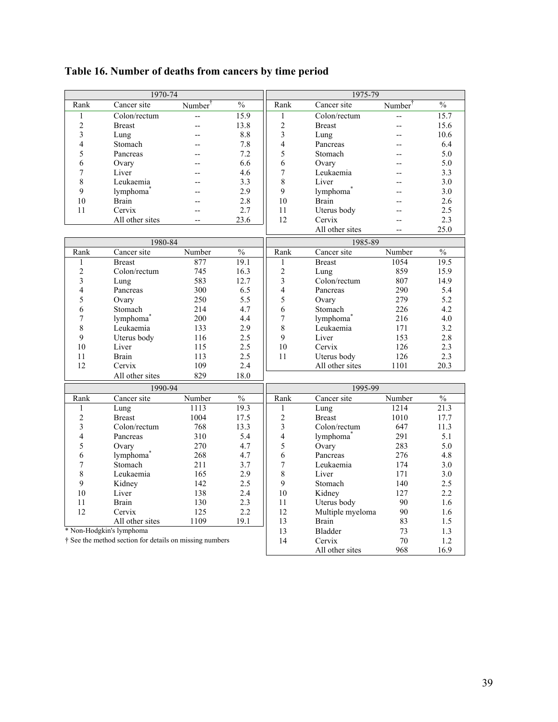| Table 16. Number of deaths from cancers by time period |  |  |  |  |  |  |  |  |  |  |  |  |  |
|--------------------------------------------------------|--|--|--|--|--|--|--|--|--|--|--|--|--|
|--------------------------------------------------------|--|--|--|--|--|--|--|--|--|--|--|--|--|

|                         | 1970-74                                                 |                          |                   |                         | 1975-79               |                     |               |
|-------------------------|---------------------------------------------------------|--------------------------|-------------------|-------------------------|-----------------------|---------------------|---------------|
| Rank                    | Cancer site                                             | Number <sup>†</sup>      | $\frac{0}{0}$     | Rank                    | Cancer site           | Number <sup>†</sup> | $\frac{0}{0}$ |
| $\mathbf{1}$            | Colon/rectum                                            | -−                       | $\overline{15.9}$ | 1                       | Colon/rectum          | --                  | 15.7          |
| $\overline{2}$          | <b>Breast</b>                                           | $-$                      | 13.8              | $\overline{2}$          | <b>Breast</b>         | $-$                 | 15.6          |
| 3                       | Lung                                                    | --                       | 8.8               | $\overline{3}$          | Lung                  | --                  | 10.6          |
| $\overline{4}$          | Stomach                                                 | --                       | 7.8               | $\overline{4}$          | Pancreas              |                     | 6.4           |
| 5                       | Pancreas                                                | $-$                      | 7.2               | 5                       | Stomach               |                     | 5.0           |
| 6                       | Ovary                                                   | --                       | 6.6               | 6                       | Ovary                 |                     | 5.0           |
| 7                       | Liver                                                   | $-$                      | 4.6               | $\boldsymbol{7}$        | Leukaemia             |                     | 3.3           |
| 8                       | Leukaemia                                               | $-$                      | 3.3               | 8                       | Liver                 |                     | 3.0           |
| 9                       | lymphoma <sup>'</sup>                                   | $-$                      | 2.9               | 9                       | lymphoma <sup>7</sup> |                     | 3.0           |
| 10                      | <b>Brain</b>                                            | $-$                      | 2.8               | 10                      | Brain                 |                     | 2.6           |
| 11                      | Cervix                                                  | $\overline{\phantom{a}}$ | 2.7               | 11                      | Uterus body           |                     | 2.5           |
|                         | All other sites                                         | $-$                      | 23.6              | 12                      | Cervix                | $\overline{a}$      | 2.3           |
|                         |                                                         |                          |                   |                         | All other sites       | $-$                 | 25.0          |
|                         | 1980-84                                                 |                          |                   |                         | 1985-89               |                     |               |
| Rank                    | Cancer site                                             | Number                   | $\frac{0}{6}$     | Rank                    | Cancer site           | Number              | $\frac{0}{6}$ |
| $\mathbf{1}$            | <b>Breast</b>                                           | 877                      | 19.1              | 1                       | <b>Breast</b>         | 1054                | 19.5          |
| $\overline{c}$          | Colon/rectum                                            | 745                      | 16.3              | $\sqrt{2}$              | Lung                  | 859                 | 15.9          |
| $\overline{\mathbf{3}}$ | Lung                                                    | 583                      | 12.7              | $\overline{3}$          | Colon/rectum          | 807                 | 14.9          |
| 4                       | Pancreas                                                | 300                      | 6.5               | $\overline{\mathbf{4}}$ | Pancreas              | 290                 | 5.4           |
| 5                       | Ovary                                                   | 250                      | 5.5               | 5                       | Ovary                 | 279                 | 5.2           |
| 6                       | Stomach                                                 | 214                      | 4.7               | 6                       | Stomach               | 226                 | 4.2           |
| $\overline{7}$          | lymphoma*                                               | 200                      | 4.4               | $\overline{7}$          | lymphoma*             | 216                 | 4.0           |
| 8                       | Leukaemia                                               | 133                      | 2.9               | 8                       | Leukaemia             | 171                 | 3.2           |
| 9                       | Uterus body                                             | 116                      | 2.5               | 9                       | Liver                 | 153                 | 2.8           |
| 10                      | Liver                                                   | 115                      | 2.5               | 10                      | Cervix                | 126                 | 2.3           |
| 11                      | <b>Brain</b>                                            | 113                      | 2.5               | 11                      | Uterus body           | 126                 | 2.3           |
| 12                      | Cervix                                                  | 109                      | 2.4               |                         | All other sites       | 1101                | 20.3          |
|                         | All other sites                                         | 829                      | 18.0              |                         |                       |                     |               |
|                         | 1990-94                                                 |                          |                   |                         | 1995-99               |                     |               |
| Rank                    | Cancer site                                             | Number                   | $\frac{0}{0}$     | Rank                    | Cancer site           | Number              | $\frac{0}{0}$ |
| $\mathbf{1}$            | Lung                                                    | 1113                     | 19.3              | 1                       | Lung                  | 1214                | 21.3          |
| $\overline{c}$          | <b>Breast</b>                                           | 1004                     | 17.5              | $\sqrt{2}$              | <b>Breast</b>         | 1010                | 17.7          |
| 3                       | Colon/rectum                                            | 768                      | 13.3              | $\overline{3}$          | Colon/rectum          | 647                 | 11.3          |
| $\overline{4}$          | Pancreas                                                | 310                      | 5.4               | $\overline{4}$          | lymphoma <sup>*</sup> | 291                 | 5.1           |
| 5                       | Ovary                                                   | 270                      | 4.7               | 5                       | Ovary                 | 283                 | 5.0           |
| 6                       | lymphoma <sup>*</sup>                                   | 268                      | 4.7               | 6                       | Pancreas              | 276                 | 4.8           |
| $\overline{7}$          | Stomach                                                 | 211                      | 3.7               | $\overline{7}$          | Leukaemia             | 174                 | 3.0           |
| 8                       | Leukaemia                                               | 165                      | 2.9               | 8                       | Liver                 | 171                 | 3.0           |
| 9                       | Kidney                                                  | 142                      | 2.5               | $\mathsf{Q}$            | Stomach               | 140                 | 2.5           |
| 10                      | Liver                                                   | 138                      | 2.4               | 10                      | Kidney                | 127                 | 2.2           |
| 11                      | <b>Brain</b>                                            | 130                      | 2.3               | 11                      | Uterus body           | 90                  | 1.6           |
| 12                      | Cervix                                                  | 125                      | 2.2               | 12                      | Multiple myeloma      | 90                  | 1.6           |
|                         | All other sites                                         | 1109                     | 19.1              | 13                      | Brain                 | 83                  | 1.5           |
|                         | * Non-Hodgkin's lymphoma                                |                          |                   | 13                      | <b>Bladder</b>        | 73                  | 1.3           |
|                         | † See the method section for details on missing numbers |                          |                   | 14                      | Cervix                | 70                  | 1.2           |
|                         |                                                         |                          |                   |                         | All other sites       | 968                 | 16.9          |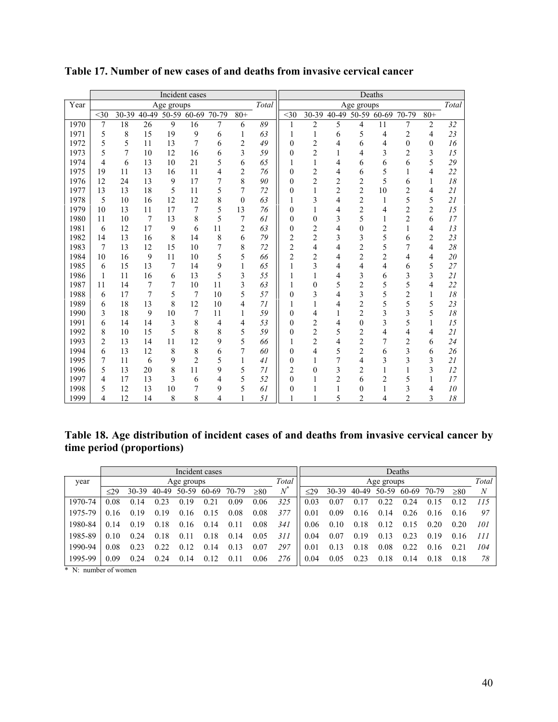|      | Incident cases |                |       |            |                |       |                |       |                  |                |                |                | Deaths         |                |                |       |
|------|----------------|----------------|-------|------------|----------------|-------|----------------|-------|------------------|----------------|----------------|----------------|----------------|----------------|----------------|-------|
| Year |                |                |       | Age groups |                |       |                | Total |                  |                |                | Age groups     |                |                |                | Total |
|      | $<$ 30         | 30-39          | 40-49 | 50-59      | 60-69          | 70-79 | $80 +$         |       | $30$             | 30-39          | 40-49          | 50-59          | 60-69          | 70-79          | $80 +$         |       |
| 1970 | 7              | 18             | 26    | 9          | 16             | 7     | 6              | 89    | $\mathbf{1}$     | 2              | 5              | 4              | 11             | 7              | $\overline{c}$ | 32    |
| 1971 | 5              | 8              | 15    | 19         | 9              | 6     | $\mathbf{1}$   | 63    | 1                | $\mathbf{1}$   | 6              | 5              | 4              | $\overline{c}$ | 4              | 23    |
| 1972 | 5              | 5              | 11    | 13         | 7              | 6     | $\overline{2}$ | 49    | 0                | $\overline{2}$ | 4              | 6              | 4              | $\overline{0}$ | $\mathbf{0}$   | 16    |
| 1973 | 5              | $\overline{7}$ | 10    | 12         | 16             | 6     | 3              | 59    | $\theta$         | $\overline{c}$ | 1              | 4              | 3              | $\overline{2}$ | 3              | 15    |
| 1974 | 4              | 6              | 13    | 10         | 21             | 5     | 6              | 65    |                  | 1              | 4              | 6              | 6              | 6              | 5              | 29    |
| 1975 | 19             | 11             | 13    | 16         | 11             | 4     | $\overline{2}$ | 76    | $\boldsymbol{0}$ | $\overline{c}$ | 4              | 6              | 5              | 1              | 4              | 22    |
| 1976 | 12             | 24             | 13    | 9          | 17             | 7     | 8              | 90    | $\boldsymbol{0}$ | $\overline{c}$ | $\overline{2}$ | $\overline{c}$ | 5              | 6              | $\mathbf{1}$   | 18    |
| 1977 | 13             | 13             | 18    | 5          | 11             | 5     | 7              | 72    | $\boldsymbol{0}$ | 1              | $\overline{c}$ | $\overline{c}$ | 10             | $\overline{c}$ | 4              | 21    |
| 1978 | 5              | 10             | 16    | 12         | 12             | 8     | $\theta$       | 63    |                  | 3              | 4              | $\overline{2}$ | 1              | 5              | 5              | 21    |
| 1979 | 10             | 13             | 11    | 17         | 7              | 5     | 13             | 76    | 0                | 1              | 4              | $\overline{c}$ | 4              | $\overline{c}$ | $\overline{c}$ | 15    |
| 1980 | 11             | 10             | 7     | 13         | 8              | 5     | 7              | 61    | $\boldsymbol{0}$ | $\overline{0}$ | 3              | 5              | $\mathbf{1}$   | $\overline{c}$ | 6              | 17    |
| 1981 | 6              | 12             | 17    | 9          | 6              | 11    | $\overline{c}$ | 63    | $\theta$         | $\overline{c}$ | 4              | $\theta$       | $\overline{c}$ | $\mathbf{1}$   | 4              | 13    |
| 1982 | 14             | 13             | 16    | 8          | 14             | 8     | 6              | 79    | $\overline{c}$   | $\overline{c}$ | 3              | 3              | 5              | 6              | $\overline{c}$ | 23    |
| 1983 | 7              | 13             | 12    | 15         | 10             | 7     | 8              | 72    | $\overline{c}$   | 4              | 4              | 2              | 5              | 7              | 4              | 28    |
| 1984 | 10             | 16             | 9     | 11         | 10             | 5     | 5              | 66    | $\overline{c}$   | $\overline{c}$ | 4              | $\overline{c}$ | $\overline{c}$ | 4              | 4              | 20    |
| 1985 | 6              | 15             | 13    | 7          | 14             | 9     | 1              | 65    | 1                | 3              | 4              | $\overline{4}$ | 4              | 6              | 5              | 27    |
| 1986 | 1              | 11             | 16    | 6          | 13             | 5     | 3              | 55    |                  |                | 4              | 3              | 6              | 3              | 3              | 21    |
| 1987 | 11             | 14             | 7     | 7          | 10             | 11    | 3              | 63    | 1                | $\theta$       | 5              | $\overline{c}$ | 5              | 5              | 4              | 22    |
| 1988 | 6              | 17             | 7     | 5          | 7              | 10    | 5              | 57    | $\mathbf{0}$     | 3              | 4              | 3              | 5              | $\overline{c}$ | 1              | 18    |
| 1989 | 6              | 18             | 13    | 8          | 12             | 10    | 4              | 71    | 1                | 1              | 4              | $\overline{c}$ | 5              | 5              | 5              | 23    |
| 1990 | 3              | 18             | 9     | 10         | 7              | 11    | 1              | 59    | $\theta$         | 4              | 1              | $\overline{2}$ | 3              | 3              | 5              | 18    |
| 1991 | 6              | 14             | 14    | 3          | 8              | 4     | 4              | 53    | $\theta$         | 2              | 4              | $\theta$       | 3              | 5              | $\mathbf{1}$   | 15    |
| 1992 | 8              | 10             | 15    | 5          | 8              | 8     | 5              | 59    | $\boldsymbol{0}$ | $\overline{c}$ | 5              | $\overline{c}$ | 4              | 4              | 4              | 21    |
| 1993 | $\overline{c}$ | 13             | 14    | 11         | 12             | 9     | 5              | 66    | 1                | $\overline{2}$ | 4              | $\overline{2}$ | 7              | $\overline{2}$ | 6              | 24    |
| 1994 | 6              | 13             | 12    | 8          | 8              | 6     | 7              | 60    | $\theta$         | 4              | 5              | $\overline{2}$ | 6              | 3              | 6              | 26    |
| 1995 | 7              | 11             | 6     | 9          | $\overline{c}$ | 5     | 1              | 41    | 0                |                | 7              | 4              | 3              | 3              | 3              | 21    |
| 1996 | 5              | 13             | 20    | 8          | 11             | 9     | 5              | 71    | $\overline{c}$   | $\overline{0}$ | 3              | $\overline{c}$ | 1              | $\mathbf{1}$   | 3              | 12    |
| 1997 | 4              | 17             | 13    | 3          | 6              | 4     | 5              | 52    | $\boldsymbol{0}$ |                | $\overline{2}$ | 6              | $\overline{c}$ | 5              | 1              | 17    |
| 1998 | 5              | 12             | 13    | 10         | 7              | 9     | 5              | 61    | $\mathbf{0}$     | 1              | 1              | $\theta$       | 1              | 3              | 4              | 10    |
| 1999 | 4              | 12             | 14    | 8          | 8              | 4     |                | 51    |                  |                | 5              | $\overline{c}$ | 4              | $\overline{2}$ | 3              | 18    |

**Table 17. Number of new cases of and deaths from invasive cervical cancer**

**Table 18. Age distribution of incident cases of and deaths from invasive cervical cancer by time period (proportions)**

|              |               | Incident cases |       |                 |       |       |      |             |           |           |                  |            | Deaths |       |      |       |
|--------------|---------------|----------------|-------|-----------------|-------|-------|------|-------------|-----------|-----------|------------------|------------|--------|-------|------|-------|
| year         |               |                |       | Age groups      |       |       |      | Total       |           |           |                  | Age groups |        |       |      | Total |
|              | $\leq$ 29     | 30-39          | 40-49 | 50-59           | 60-69 | 70-79 | >80  | $N^{\circ}$ | $\leq$ 29 | $30 - 39$ | 40-49            | 50-59      | 60-69  | 70-79 | > 80 | N     |
| 1970-74      | 0.08          | 0.14           | 0.23  | 19<br>0         | 0.21  | 0.09  | 0.06 | 325         | 0.03      | 0.07      | 17               | 0.22       | 0.24   | 0.15  | 0.12 | 115   |
| 1975-79      | 0.16          | 0.19           | 0.19  | .16<br>$\Omega$ | 0.15  | 0.08  | 0.08 | 377         | 0.01      | 0.09      | 0.16             | 0.14       | 0.26   | 0.16  | 0.16 | 97    |
| 1980-84      | 0.14          | 0.19           | 0.18  | 0.16            | 0.14  | 0.11  | 0.08 | 341         | 0.06      | 0.10      | 0.18             | 0.12       | 0.15   | 0.20  | 0.20 | 101   |
| 1985-89      | 0.10          | 0.24           | 0.18  | 0.11            | 0.18  | 0.14  | 0.05 | 31 I        | 0.04      | 0.07      | 19<br>$\Omega$ . | 0.13       | 0.23   | 0.19  | 0.16 | 111   |
| 1990-94      | 0.08          | 0.23           | 0.22  | .12<br>$\Omega$ | 0.14  | 0.13  | 0.07 | 297         | 0.01      | 0.13      | 18               | 0.08       | 0.22   | 0.16  | 0.21 | 104   |
| 1995-99      | 0.09          | 0.24           | 0.24  | 0.14            | 0.12  | 0.11  | 0.06 | 276         | 0.04      | 0.05      | 0.23             | 0.18       | 0.14   | 0.18  | 0.18 | 78    |
| <b>A</b> 3.T | $\mathcal{L}$ |                |       |                 |       |       |      |             |           |           |                  |            |        |       |      |       |

\* N: number of women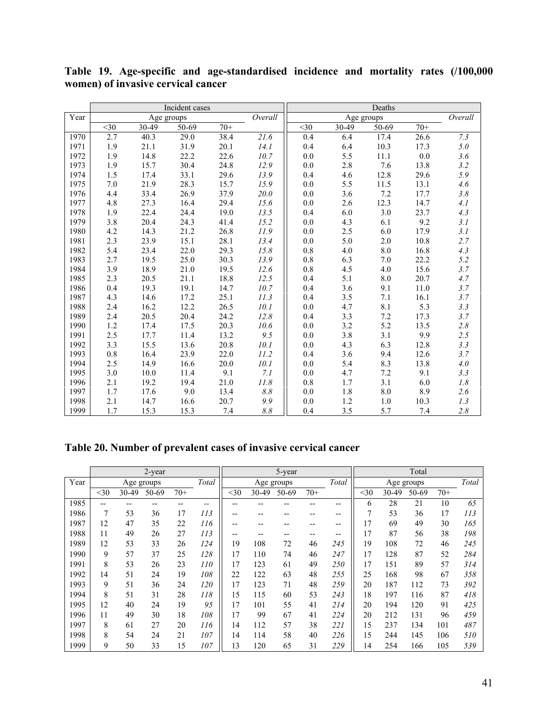|      |        |            | Incident cases |       |         |         |            | Deaths    |       |         |
|------|--------|------------|----------------|-------|---------|---------|------------|-----------|-------|---------|
| Year |        | Age groups |                |       | Overall |         | Age groups |           |       | Overall |
|      | $<$ 30 | 30-49      | 50-69          | $70+$ |         | $30$    | 30-49      | $50 - 69$ | $70+$ |         |
| 1970 | 2.7    | 40.3       | 29.0           | 38.4  | 21.6    | 0.4     | 6.4        | 17.4      | 26.6  | 7.3     |
| 1971 | 1.9    | 21.1       | 31.9           | 20.1  | 14.1    | 0.4     | 6.4        | 10.3      | 17.3  | $5.0\,$ |
| 1972 | 1.9    | 14.8       | 22.2           | 22.6  | 10.7    | 0.0     | 5.5        | 11.1      | 0.0   | 3.6     |
| 1973 | 1.9    | 15.7       | 30.4           | 24.8  | 12.9    | 0.0     | 2.8        | 7.6       | 13.8  | 3.2     |
| 1974 | 1.5    | 17.4       | 33.1           | 29.6  | 13.9    | 0.4     | 4.6        | 12.8      | 29.6  | 5.9     |
| 1975 | 7.0    | 21.9       | 28.3           | 15.7  | 15.9    | 0.0     | 5.5        | 11.5      | 13.1  | 4.6     |
| 1976 | 4.4    | 33.4       | 26.9           | 37.9  | 20.0    | 0.0     | 3.6        | 7.2       | 17.7  | 3.8     |
| 1977 | 4.8    | 27.3       | 16.4           | 29.4  | 15.6    | 0.0     | 2.6        | 12.3      | 14.7  | 4.1     |
| 1978 | 1.9    | 22.4       | 24.4           | 19.0  | 13.5    | 0.4     | 6.0        | 3.0       | 23.7  | 4.3     |
| 1979 | 3.8    | 20.4       | 24.3           | 41.4  | 15.2    | 0.0     | 4.3        | 6.1       | 9.2   | 3.1     |
| 1980 | 4.2    | 14.3       | 21.2           | 26.8  | 11.9    | 0.0     | 2.5        | 6.0       | 17.9  | 3.1     |
| 1981 | 2.3    | 23.9       | 15.1           | 28.1  | 13.4    | 0.0     | 5.0        | 2.0       | 10.8  | 2.7     |
| 1982 | 5.4    | 23.4       | 22.0           | 29.3  | 15.8    | 0.8     | 4.0        | 8.0       | 16.8  | 4.3     |
| 1983 | 2.7    | 19.5       | 25.0           | 30.3  | 13.9    | 0.8     | 6.3        | 7.0       | 22.2  | 5.2     |
| 1984 | 3.9    | 18.9       | 21.0           | 19.5  | 12.6    | 0.8     | 4.5        | 4.0       | 15.6  | 3.7     |
| 1985 | 2.3    | 20.5       | 21.1           | 18.8  | 12.5    | 0.4     | 5.1        | $8.0\,$   | 20.7  | 4.7     |
| 1986 | 0.4    | 19.3       | 19.1           | 14.7  | 10.7    | 0.4     | 3.6        | 9.1       | 11.0  | 3.7     |
| 1987 | 4.3    | 14.6       | 17.2           | 25.1  | 11.3    | 0.4     | 3.5        | $7.1\,$   | 16.1  | 3.7     |
| 1988 | 2.4    | 16.2       | 12.2           | 26.5  | 10.1    | 0.0     | 4.7        | 8.1       | 5.3   | 3.3     |
| 1989 | 2.4    | 20.5       | 20.4           | 24.2  | 12.8    | 0.4     | 3.3        | 7.2       | 17.3  | 3.7     |
| 1990 | 1.2    | 17.4       | 17.5           | 20.3  | 10.6    | 0.0     | 3.2        | 5.2       | 13.5  | 2.8     |
| 1991 | 2.5    | 17.7       | 11.4           | 13.2  | 9.5     | 0.0     | 3.8        | 3.1       | 9.9   | 2.5     |
| 1992 | 3.3    | 15.5       | 13.6           | 20.8  | 10.1    | 0.0     | 4.3        | 6.3       | 12.8  | 3.3     |
| 1993 | 0.8    | 16.4       | 23.9           | 22.0  | 11.2    | 0.4     | 3.6        | 9.4       | 12.6  | 3.7     |
| 1994 | 2.5    | 14.9       | 16.6           | 20.0  | 10.1    | 0.0     | 5.4        | 8.3       | 13.8  | 4.0     |
| 1995 | 3.0    | 10.0       | 11.4           | 9.1   | 7.1     | 0.0     | 4.7        | $7.2\,$   | 9.1   | 3.3     |
| 1996 | 2.1    | 19.2       | 19.4           | 21.0  | 11.8    | $0.8\,$ | 1.7        | 3.1       | 6.0   | $1.8\,$ |
| 1997 | 1.7    | 17.6       | 9.0            | 13.4  | 8.8     | 0.0     | 1.8        | 8.0       | 8.9   | 2.6     |
| 1998 | 2.1    | 14.7       | 16.6           | 20.7  | 9.9     | 0.0     | 1.2        | 1.0       | 10.3  | 1.3     |
| 1999 | 1.7    | 15.3       | 15.3           | 7.4   | 8.8     | 0.4     | 3.5        | 5.7       | 7.4   | 2.8     |

**Table 19. Age-specific and age-standardised incidence and mortality rates (/100,000 women) of invasive cervical cancer**

# **Table 20. Number of prevalent cases of invasive cervical cancer**

|      |      |       | 2-year     |       |       |       |            | 5-year |       |       |        |       | Total      |       |       |
|------|------|-------|------------|-------|-------|-------|------------|--------|-------|-------|--------|-------|------------|-------|-------|
| Year |      |       | Age groups |       | Total |       | Age groups |        |       | Total |        |       | Age groups |       | Total |
|      | $30$ | 30-49 | 50-69      | $70+$ |       | $30$  | 30-49      | 50-69  | $70+$ |       | $<$ 30 | 30-49 | 50-69      | $70+$ |       |
| 1985 | --   |       |            |       | --    | --    |            |        |       | --    | 6      | 28    | 21         | 10    | 65    |
| 1986 | 7    | 53    | 36         | 17    | 113   | $- -$ | --         | --     | --    | --    | 7      | 53    | 36         | 17    | 113   |
| 1987 | 12   | 47    | 35         | 22    | 116   | $- -$ | --         | --     | --    | --    | 17     | 69    | 49         | 30    | 165   |
| 1988 | 11   | 49    | 26         | 27    | 113   | $- -$ | --         | --     | $- -$ | --    | 17     | 87    | 56         | 38    | 198   |
| 1989 | 12   | 53    | 33         | 26    | 124   | 19    | 108        | 72     | 46    | 245   | 19     | 108   | 72         | 46    | 245   |
| 1990 | 9    | 57    | 37         | 25    | 128   | 17    | 110        | 74     | 46    | 247   | 17     | 128   | 87         | 52    | 284   |
| 1991 | 8    | 53    | 26         | 23    | 110   | 17    | 123        | 61     | 49    | 250   | 17     | 151   | 89         | 57    | 314   |
| 1992 | 14   | 51    | 24         | 19    | 108   | 22    | 122        | 63     | 48    | 255   | 25     | 168   | 98         | 67    | 358   |
| 1993 | 9    | 51    | 36         | 24    | 120   | 17    | 123        | 71     | 48    | 259   | 20     | 187   | 112        | 73    | 392   |
| 1994 | 8    | 51    | 31         | 28    | 118   | 15    | 115        | 60     | 53    | 243   | 18     | 197   | 116        | 87    | 418   |
| 1995 | 12   | 40    | 24         | 19    | 95    | 17    | 101        | 55     | 41    | 214   | 20     | 194   | 120        | 91    | 425   |
| 1996 | 11   | 49    | 30         | 18    | 108   | 17    | 99         | 67     | 41    | 224   | 20     | 212   | 131        | 96    | 459   |
| 1997 | 8    | 61    | 27         | 20    | 116   | 14    | 112        | 57     | 38    | 221   | 15     | 237   | 134        | 101   | 487   |
| 1998 | 8    | 54    | 24         | 21    | 107   | 14    | 114        | 58     | 40    | 226   | 15     | 244   | 145        | 106   | 510   |
| 1999 | 9    | 50    | 33         | 15    | 107   | 13    | 120        | 65     | 31    | 229   | 14     | 254   | 166        | 105   | 539   |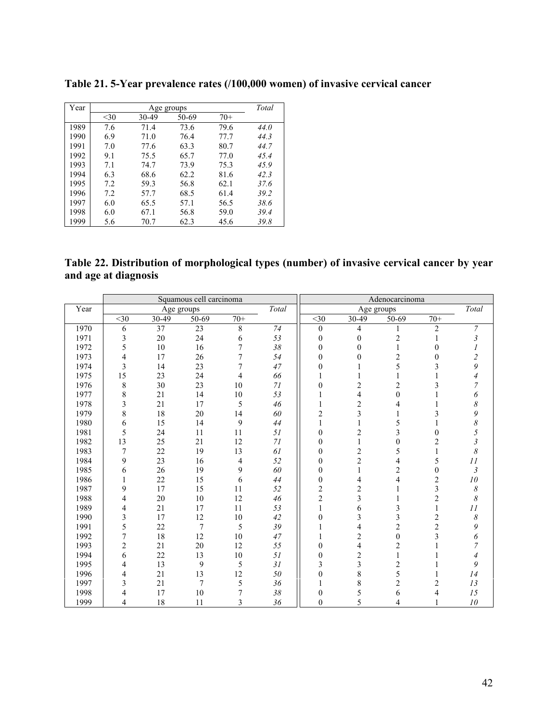| Year |      |       | Age groups |       | Total |
|------|------|-------|------------|-------|-------|
|      | $30$ | 30-49 | 50-69      | $70+$ |       |
| 1989 | 7.6  | 71.4  | 73.6       | 79.6  | 44.0  |
| 1990 | 6.9  | 71.0  | 76.4       | 77.7  | 44.3  |
| 1991 | 7.0  | 77.6  | 63.3       | 80.7  | 44.7  |
| 1992 | 9.1  | 75.5  | 65.7       | 77.0  | 45.4  |
| 1993 | 7.1  | 74.7  | 73.9       | 75.3  | 45.9  |
| 1994 | 6.3  | 68.6  | 62.2       | 81.6  | 42.3  |
| 1995 | 7.2  | 59.3  | 56.8       | 62.1  | 37.6  |
| 1996 | 7.2  | 57.7  | 68.5       | 61.4  | 39.2  |
| 1997 | 6.0  | 65.5  | 57.1       | 56.5  | 38.6  |
| 1998 | 6.0  | 67.1  | 56.8       | 59.0  | 39.4  |
| 1999 | 5.6  | 70.7  | 62.3       | 45.6  | 39.8  |

**Table 21. 5-Year prevalence rates (/100,000 women) of invasive cervical cancer**

**Table 22. Distribution of morphological types (number) of invasive cervical cancer by year and age at diagnosis**

|      |                  |            | Squamous cell carcinoma |        |        |                  |                | Adenocarcinoma          |                |                            |
|------|------------------|------------|-------------------------|--------|--------|------------------|----------------|-------------------------|----------------|----------------------------|
| Year |                  | Age groups |                         |        | Total  |                  | Age groups     |                         |                | Total                      |
|      | $<$ 30           | 30-49      | 50-69                   | $70+$  |        | $<$ 30           | 30-49          | 50-69                   | $70+$          |                            |
| 1970 | 6                | 37         | 23                      | 8      | 74     | $\boldsymbol{0}$ | 4              |                         | 2              | $\overline{7}$             |
| 1971 | 3                | 20         | 24                      | 6      | 53     | $\mathbf{0}$     | $\theta$       | $\overline{c}$          |                | 3                          |
| 1972 | 5                | 10         | 16                      | 7      | $38\,$ | $\boldsymbol{0}$ | $\theta$       | $\mathbf{1}$            | $\theta$       |                            |
| 1973 | 4                | 17         | 26                      | 7      | 54     | $\theta$         | $\Omega$       | $\overline{\mathbf{c}}$ | 0              | $\overline{2}$             |
| 1974 | 3                | 14         | 23                      | 7      | 47     | $\theta$         |                | 5                       | 3              | 9                          |
| 1975 | 15               | 23         | 24                      | 4      | 66     |                  |                |                         |                |                            |
| 1976 | 8                | 30         | 23                      | 10     | 71     | 0                | $\overline{c}$ | $\overline{c}$          | 3              | 7                          |
| 1977 | 8                | 21         | 14                      | 10     | 53     |                  | 4              | $\mathbf{0}$            |                | 6                          |
| 1978 | 3                | 21         | 17                      | 5      | 46     |                  | $\overline{c}$ | 4                       |                | 8                          |
| 1979 | 8                | 18         | 20                      | 14     | 60     | $\overline{c}$   | 3              |                         | 3              | 9                          |
| 1980 | 6                | 15         | 14                      | 9      | 44     |                  |                | 5                       |                | 8                          |
| 1981 | 5                | 24         | 11                      | 11     | 51     | $\mathbf{0}$     | $\overline{2}$ | 3                       | 0              | 5                          |
| 1982 | 13               | 25         | 21                      | 12     | 71     | $\mathbf{0}$     |                | $\mathbf{0}$            | 2              | 3                          |
| 1983 | $\boldsymbol{7}$ | 22         | 19                      | 13     | 61     | $\overline{0}$   | $\overline{c}$ | 5                       |                | 8                          |
| 1984 | 9                | 23         | 16                      | 4      | 52     | $\overline{0}$   | $\overline{2}$ | 4                       | 5              | 11                         |
| 1985 | 6                | 26         | 19                      | 9      | 60     | $\theta$         |                | $\overline{\mathbf{c}}$ | $\theta$       | 3                          |
| 1986 |                  | 22         | 15                      | 6      | 44     | $\mathbf{0}$     | 4              | 4                       | 2              | ${\it 10}$                 |
| 1987 | 9                | 17         | 15                      | 11     | 52     | $\overline{c}$   | $\overline{c}$ |                         | 3              | 8                          |
| 1988 | 4                | 20         | 10                      | 12     | 46     | $\overline{c}$   | 3              |                         | $\overline{c}$ | 8                          |
| 1989 | 4                | 21         | 17                      | 11     | 53     |                  | 6              | 3                       | 1              | $\cal II$                  |
| 1990 | 3                | 17         | 12                      | $10\,$ | 42     | $\theta$         | 3              | 3                       | $\overline{c}$ | $\boldsymbol{\mathcal{S}}$ |
| 1991 | 5                | 22         | 7                       | 5      | 39     |                  | 4              | $\overline{c}$          | $\overline{c}$ | 9                          |
| 1992 | 7                | 18         | 12                      | 10     | $47\,$ |                  | $\overline{c}$ | $\boldsymbol{0}$        | 3              | 6                          |
| 1993 | $\overline{c}$   | 21         | 20                      | 12     | 55     | $\overline{0}$   | $\overline{4}$ | $\overline{c}$          |                |                            |
| 1994 | 6                | 22         | 13                      | $10\,$ | $51\,$ | $\overline{0}$   | $\overline{c}$ | 1                       |                |                            |
| 1995 | 4                | 13         | 9                       | 5      | 31     | 3                | 3              | $\overline{c}$          |                | 9                          |
| 1996 | 4                | 21         | 13                      | 12     | 50     | $\overline{0}$   | 8              | 5                       |                | 14                         |
| 1997 | 3                | 21         | 7                       | 5      | 36     |                  | 8              | $\overline{c}$          | 2              | 13                         |
| 1998 | 4                | 17         | 10                      | 7      | $38\,$ | $\boldsymbol{0}$ | 5              | 6                       | 4              | 15                         |
| 1999 | 4                | 18         | 11                      | 3      | 36     | $\boldsymbol{0}$ | 5              | 4                       |                | $10\,$                     |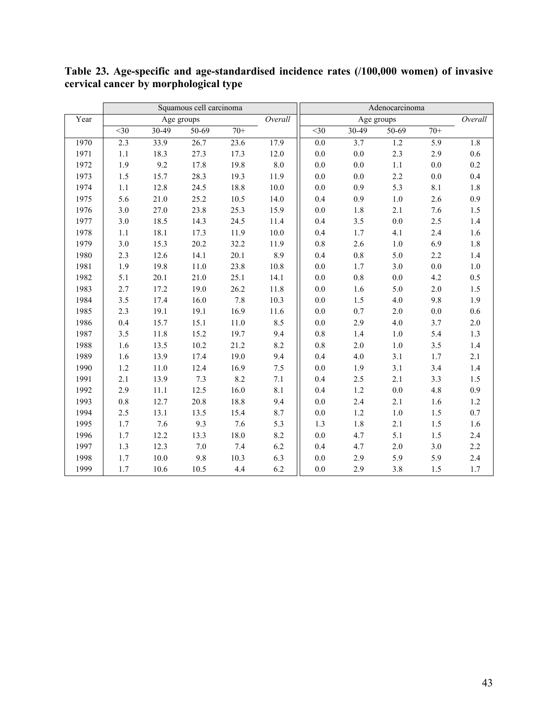|      |                  |          | Squamous cell carcinoma |          |          |                  |                  | Adenocarcinoma |         |         |
|------|------------------|----------|-------------------------|----------|----------|------------------|------------------|----------------|---------|---------|
| Year |                  |          | Age groups              |          | Overall  |                  |                  | Age groups     |         | Overall |
|      | $\overline{<}30$ | $30-49$  | $50-69$                 | $70+$    |          | $\overline{<}30$ | $30-49$          | $50-69$        | $70+$   |         |
| 1970 | 2.3              | 33.9     | 26.7                    | 23.6     | 17.9     | $0.0\,$          | $\overline{3.7}$ | 1.2            | 5.9     | 1.8     |
| 1971 | $1.1\,$          | 18.3     | 27.3                    | 17.3     | 12.0     | $0.0\,$          | $0.0\,$          | 2.3            | 2.9     | $0.6\,$ |
| 1972 | 1.9              | 9.2      | 17.8                    | 19.8     | $8.0\,$  | $0.0\,$          | 0.0              | $1.1\,$        | $0.0\,$ | $0.2\,$ |
| 1973 | 1.5              | 15.7     | 28.3                    | 19.3     | 11.9     | $0.0\,$          | 0.0              | 2.2            | $0.0\,$ | $0.4\,$ |
| 1974 | 1.1              | 12.8     | 24.5                    | 18.8     | $10.0\,$ | $0.0\,$          | 0.9              | 5.3            | 8.1     | $1.8\,$ |
| 1975 | 5.6              | 21.0     | 25.2                    | $10.5\,$ | 14.0     | 0.4              | 0.9              | $1.0\,$        | 2.6     | 0.9     |
| 1976 | 3.0              | 27.0     | 23.8                    | 25.3     | 15.9     | $0.0\,$          | 1.8              | 2.1            | 7.6     | $1.5\,$ |
| 1977 | 3.0              | 18.5     | 14.3                    | 24.5     | 11.4     | 0.4              | 3.5              | $0.0\,$        | 2.5     | $1.4\,$ |
| 1978 | 1.1              | 18.1     | 17.3                    | 11.9     | $10.0\,$ | 0.4              | $1.7\,$          | 4.1            | 2.4     | $1.6\,$ |
| 1979 | 3.0              | 15.3     | 20.2                    | 32.2     | 11.9     | $0.8\,$          | 2.6              | $1.0\,$        | 6.9     | $1.8\,$ |
| 1980 | 2.3              | 12.6     | 14.1                    | 20.1     | 8.9      | 0.4              | $0.8\,$          | 5.0            | 2.2     | $1.4\,$ |
| 1981 | 1.9              | 19.8     | 11.0                    | 23.8     | 10.8     | 0.0              | 1.7              | 3.0            | $0.0\,$ | $1.0\,$ |
| 1982 | 5.1              | 20.1     | 21.0                    | 25.1     | 14.1     | $0.0\,$          | $0.8\,$          | $0.0\,$        | 4.2     | $0.5\,$ |
| 1983 | 2.7              | 17.2     | 19.0                    | 26.2     | 11.8     | 0.0              | 1.6              | 5.0            | 2.0     | 1.5     |
| 1984 | 3.5              | 17.4     | 16.0                    | 7.8      | 10.3     | 0.0              | 1.5              | 4.0            | 9.8     | 1.9     |
| 1985 | 2.3              | 19.1     | 19.1                    | 16.9     | 11.6     | 0.0              | 0.7              | $2.0$          | 0.0     | 0.6     |
| 1986 | 0.4              | 15.7     | 15.1                    | 11.0     | 8.5      | $0.0\,$          | 2.9              | 4.0            | 3.7     | $2.0\,$ |
| 1987 | 3.5              | 11.8     | 15.2                    | 19.7     | 9.4      | 0.8              | 1.4              | $1.0\,$        | 5.4     | 1.3     |
| 1988 | 1.6              | 13.5     | 10.2                    | 21.2     | 8.2      | 0.8              | 2.0              | $1.0\,$        | 3.5     | 1.4     |
| 1989 | 1.6              | 13.9     | 17.4                    | 19.0     | 9.4      | 0.4              | 4.0              | 3.1            | 1.7     | 2.1     |
| 1990 | $1.2\,$          | 11.0     | 12.4                    | 16.9     | 7.5      | $0.0\,$          | 1.9              | 3.1            | 3.4     | 1.4     |
| 1991 | 2.1              | 13.9     | 7.3                     | 8.2      | $7.1\,$  | 0.4              | 2.5              | 2.1            | 3.3     | 1.5     |
| 1992 | 2.9              | 11.1     | 12.5                    | 16.0     | $8.1\,$  | 0.4              | $1.2\,$          | $0.0\,$        | 4.8     | 0.9     |
| 1993 | $0.8\,$          | 12.7     | 20.8                    | 18.8     | 9.4      | $0.0\,$          | 2.4              | 2.1            | 1.6     | $1.2\,$ |
| 1994 | 2.5              | 13.1     | 13.5                    | 15.4     | 8.7      | $0.0\,$          | $1.2\,$          | $1.0\,$        | 1.5     | $0.7\,$ |
| 1995 | 1.7              | 7.6      | 9.3                     | 7.6      | 5.3      | 1.3              | $1.8\,$          | $2.1\,$        | 1.5     | $1.6\,$ |
| 1996 | 1.7              | 12.2     | 13.3                    | 18.0     | 8.2      | $0.0\,$          | 4.7              | 5.1            | 1.5     | 2.4     |
| 1997 | 1.3              | 12.3     | 7.0                     | 7.4      | 6.2      | 0.4              | 4.7              | $2.0\,$        | 3.0     | 2.2     |
| 1998 | 1.7              | $10.0\,$ | 9.8                     | 10.3     | 6.3      | $0.0\,$          | 2.9              | 5.9            | 5.9     | 2.4     |
| 1999 | 1.7              | 10.6     | 10.5                    | 4.4      | 6.2      | $0.0\,$          | 2.9              | $3.8\,$        | 1.5     | 1.7     |

**Table 23. Age-specific and age-standardised incidence rates (/100,000 women) of invasive cervical cancer by morphological type**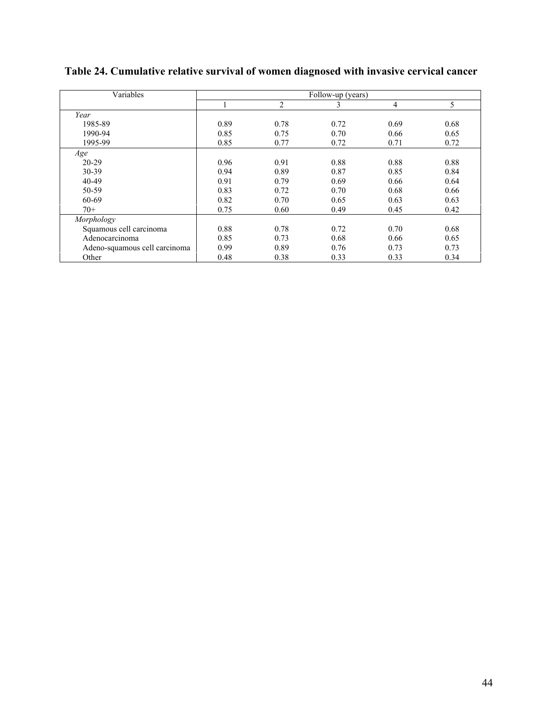| Variables                     |      |      | Follow-up (years) |                |      |
|-------------------------------|------|------|-------------------|----------------|------|
|                               |      | 2    | 3                 | $\overline{4}$ | 5    |
| Year                          |      |      |                   |                |      |
| 1985-89                       | 0.89 | 0.78 | 0.72              | 0.69           | 0.68 |
| 1990-94                       | 0.85 | 0.75 | 0.70              | 0.66           | 0.65 |
| 1995-99                       | 0.85 | 0.77 | 0.72              | 0.71           | 0.72 |
| Age                           |      |      |                   |                |      |
| $20 - 29$                     | 0.96 | 0.91 | 0.88              | 0.88           | 0.88 |
| 30-39                         | 0.94 | 0.89 | 0.87              | 0.85           | 0.84 |
| 40-49                         | 0.91 | 0.79 | 0.69              | 0.66           | 0.64 |
| 50-59                         | 0.83 | 0.72 | 0.70              | 0.68           | 0.66 |
| 60-69                         | 0.82 | 0.70 | 0.65              | 0.63           | 0.63 |
| $70+$                         | 0.75 | 0.60 | 0.49              | 0.45           | 0.42 |
| Morphology                    |      |      |                   |                |      |
| Squamous cell carcinoma       | 0.88 | 0.78 | 0.72              | 0.70           | 0.68 |
| Adenocarcinoma                | 0.85 | 0.73 | 0.68              | 0.66           | 0.65 |
| Adeno-squamous cell carcinoma | 0.99 | 0.89 | 0.76              | 0.73           | 0.73 |
| Other                         | 0.48 | 0.38 | 0.33              | 0.33           | 0.34 |

# **Table 24. Cumulative relative survival of women diagnosed with invasive cervical cancer**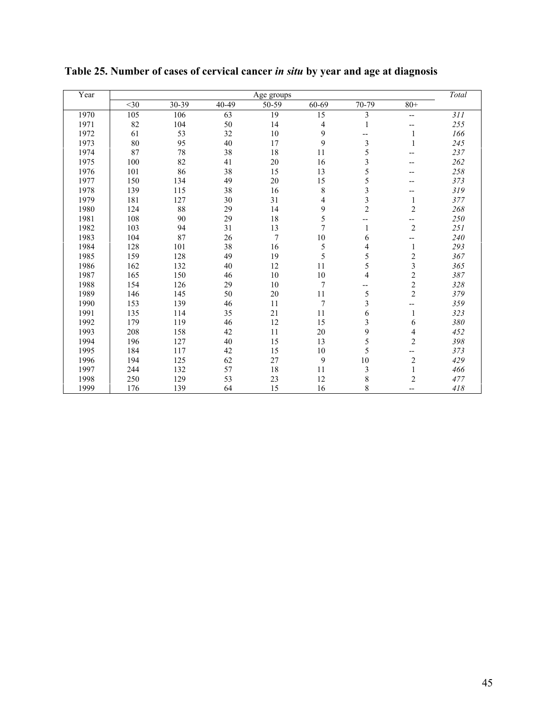| Year |        |       |       | Age groups     |                |                         |                | Total |
|------|--------|-------|-------|----------------|----------------|-------------------------|----------------|-------|
|      | $<$ 30 | 30-39 | 40-49 | 50-59          | 60-69          | $\overline{7}0 - 79$    | $80+$          |       |
| 1970 | 105    | 106   | 63    | 19             | 15             | 3                       | $-$            | 311   |
| 1971 | 82     | 104   | 50    | 14             | 4              | 1                       | --             | 255   |
| 1972 | 61     | 53    | 32    | 10             | 9              | --                      | 1              | 166   |
| 1973 | 80     | 95    | 40    | 17             | 9              | 3                       | 1              | 245   |
| 1974 | 87     | 78    | 38    | 18             | 11             | 5                       |                | 237   |
| 1975 | 100    | 82    | 41    | $20\,$         | 16             | 3                       |                | 262   |
| 1976 | 101    | 86    | 38    | 15             | 13             | 5                       |                | 258   |
| 1977 | 150    | 134   | 49    | $20\,$         | 15             | 5                       |                | 373   |
| 1978 | 139    | 115   | 38    | 16             | 8              | 3                       |                | 319   |
| 1979 | 181    | 127   | 30    | 31             | 4              | $\frac{3}{2}$           | 1              | 377   |
| 1980 | 124    | 88    | 29    | 14             | 9              |                         | $\overline{c}$ | 268   |
| 1981 | 108    | 90    | 29    | 18             | 5              |                         | --             | 250   |
| 1982 | 103    | 94    | 31    | 13             | $\overline{7}$ | 1                       | $\overline{c}$ | 251   |
| 1983 | 104    | 87    | 26    | $\overline{7}$ | 10             | 6                       |                | 240   |
| 1984 | 128    | 101   | 38    | 16             | 5              | 4                       | 1              | 293   |
| 1985 | 159    | 128   | 49    | 19             | 5              | 5                       | $\overline{c}$ | 367   |
| 1986 | 162    | 132   | 40    | 12             | 11             | 5                       | $\frac{3}{2}$  | 365   |
| 1987 | 165    | 150   | 46    | 10             | 10             | 4                       |                | 387   |
| 1988 | 154    | 126   | 29    | 10             | $\overline{7}$ | --                      | $\frac{2}{2}$  | 328   |
| 1989 | 146    | 145   | 50    | $20\,$         | 11             | 5                       |                | 379   |
| 1990 | 153    | 139   | 46    | 11             | $\overline{7}$ | $\overline{\mathbf{3}}$ |                | 359   |
| 1991 | 135    | 114   | 35    | 21             | 11             | 6                       | 1              | 323   |
| 1992 | 179    | 119   | 46    | 12             | 15             | 3                       | 6              | 380   |
| 1993 | 208    | 158   | 42    | 11             | 20             | 9                       | 4              | 452   |
| 1994 | 196    | 127   | 40    | 15             | 13             | 5                       | $\overline{c}$ | 398   |
| 1995 | 184    | 117   | 42    | 15             | 10             | 5                       | --             | 373   |
| 1996 | 194    | 125   | 62    | 27             | 9              | 10                      | $\overline{c}$ | 429   |
| 1997 | 244    | 132   | 57    | 18             | 11             | 3                       | $\mathbf{1}$   | 466   |
| 1998 | 250    | 129   | 53    | 23             | 12             | 8                       | $\overline{c}$ | 477   |
| 1999 | 176    | 139   | 64    | 15             | 16             | 8                       | --             | 418   |

**Table 25. Number of cases of cervical cancer** *in situ* **by year and age at diagnosis**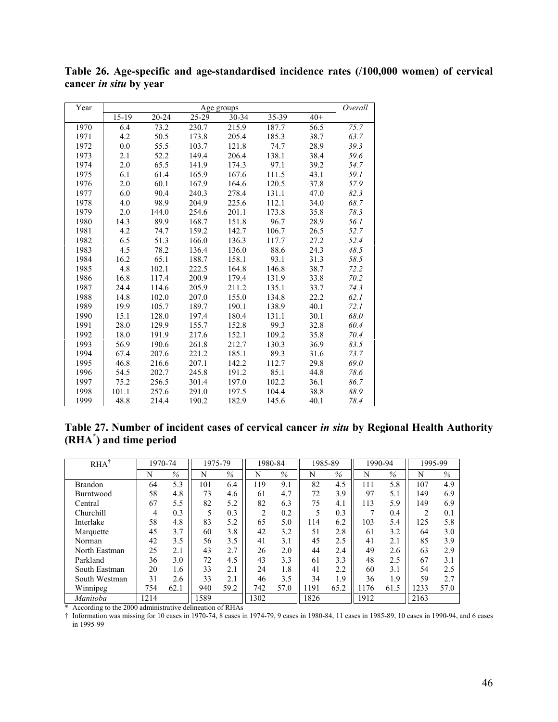| Year |       |           |       | Age groups |       |       | Overall |
|------|-------|-----------|-------|------------|-------|-------|---------|
|      | 15-19 | $20 - 24$ | 25-29 | 30-34      | 35-39 | $40+$ |         |
| 1970 | 6.4   | 73.2      | 230.7 | 215.9      | 187.7 | 56.5  | 75.7    |
| 1971 | 4.2   | 50.5      | 173.8 | 205.4      | 185.3 | 38.7  | 63.7    |
| 1972 | 0.0   | 55.5      | 103.7 | 121.8      | 74.7  | 28.9  | 39.3    |
| 1973 | 2.1   | 52.2      | 149.4 | 206.4      | 138.1 | 38.4  | 59.6    |
| 1974 | 2.0   | 65.5      | 141.9 | 174.3      | 97.1  | 39.2  | 54.7    |
| 1975 | 6.1   | 61.4      | 165.9 | 167.6      | 111.5 | 43.1  | 59.1    |
| 1976 | 2.0   | 60.1      | 167.9 | 164.6      | 120.5 | 37.8  | 57.9    |
| 1977 | 6.0   | 90.4      | 240.3 | 278.4      | 131.1 | 47.0  | 82.3    |
| 1978 | 4.0   | 98.9      | 204.9 | 225.6      | 112.1 | 34.0  | 68.7    |
| 1979 | 2.0   | 144.0     | 254.6 | 201.1      | 173.8 | 35.8  | 78.3    |
| 1980 | 14.3  | 89.9      | 168.7 | 151.8      | 96.7  | 28.9  | 56.1    |
| 1981 | 4.2   | 74.7      | 159.2 | 142.7      | 106.7 | 26.5  | 52.7    |
| 1982 | 6.5   | 51.3      | 166.0 | 136.3      | 117.7 | 27.2  | 52.4    |
| 1983 | 4.5   | 78.2      | 136.4 | 136.0      | 88.6  | 24.3  | 48.5    |
| 1984 | 16.2  | 65.1      | 188.7 | 158.1      | 93.1  | 31.3  | 58.5    |
| 1985 | 4.8   | 102.1     | 222.5 | 164.8      | 146.8 | 38.7  | 72.2    |
| 1986 | 16.8  | 117.4     | 200.9 | 179.4      | 131.9 | 33.8  | 70.2    |
| 1987 | 24.4  | 114.6     | 205.9 | 211.2      | 135.1 | 33.7  | 74.3    |
| 1988 | 14.8  | 102.0     | 207.0 | 155.0      | 134.8 | 22.2  | 62.1    |
| 1989 | 19.9  | 105.7     | 189.7 | 190.1      | 138.9 | 40.1  | 72.1    |
| 1990 | 15.1  | 128.0     | 197.4 | 180.4      | 131.1 | 30.1  | 68.0    |
| 1991 | 28.0  | 129.9     | 155.7 | 152.8      | 99.3  | 32.8  | 60.4    |
| 1992 | 18.0  | 191.9     | 217.6 | 152.1      | 109.2 | 35.8  | 70.4    |
| 1993 | 56.9  | 190.6     | 261.8 | 212.7      | 130.3 | 36.9  | 83.5    |
| 1994 | 67.4  | 207.6     | 221.2 | 185.1      | 89.3  | 31.6  | 73.7    |
| 1995 | 46.8  | 216.6     | 207.1 | 142.2      | 112.7 | 29.8  | 69.0    |
| 1996 | 54.5  | 202.7     | 245.8 | 191.2      | 85.1  | 44.8  | 78.6    |
| 1997 | 75.2  | 256.5     | 301.4 | 197.0      | 102.2 | 36.1  | 86.7    |
| 1998 | 101.1 | 257.6     | 291.0 | 197.5      | 104.4 | 38.8  | 88.9    |
| 1999 | 48.8  | 214.4     | 190.2 | 182.9      | 145.6 | 40.1  | 78.4    |

**Table 26. Age-specific and age-standardised incidence rates (/100,000 women) of cervical cancer** *in situ* **by year**

## **Table 27. Number of incident cases of cervical cancer** *in situ* **by Regional Health Authority (RHA\* ) and time period**

| <b>RHA</b>     |      | 1970-74       |      | 1975-79 |                | 1980-84 | 1985-89 |      |      | 1990-94 | 1995-99 |      |
|----------------|------|---------------|------|---------|----------------|---------|---------|------|------|---------|---------|------|
|                | N    | $\frac{0}{6}$ | N    | $\%$    | N              | $\%$    | N       | $\%$ | N    | $\%$    | N       | $\%$ |
| <b>Brandon</b> | 64   | 5.3           | 101  | 6.4     | 119            | 9.1     | 82      | 4.5  | 111  | 5.8     | 107     | 4.9  |
| Burntwood      | 58   | 4.8           | 73   | 4.6     | 61             | 4.7     | 72      | 3.9  | 97   | 5.1     | 149     | 6.9  |
| Central        | 67   | 5.5           | 82   | 5.2     | 82             | 6.3     | 75      | 4.1  | 113  | 5.9     | 149     | 6.9  |
| Churchill      | 4    | 0.3           |      | 0.3     | $\overline{c}$ | 0.2     | 5       | 0.3  |      | 0.4     | 2       | 0.1  |
| Interlake      | 58   | 4.8           | 83   | 5.2     | 65             | 5.0     | 114     | 6.2  | 103  | 5.4     | 125     | 5.8  |
| Marquette      | 45   | 3.7           | 60   | 3.8     | 42             | 3.2     | 51      | 2.8  | 61   | 3.2     | 64      | 3.0  |
| Norman         | 42   | 3.5           | 56   | 3.5     | 41             | 3.1     | 45      | 2.5  | 41   | 2.1     | 85      | 3.9  |
| North Eastman  | 25   | 2.1           | 43   | 2.7     | 26             | 2.0     | 44      | 2.4  | 49   | 2.6     | 63      | 2.9  |
| Parkland       | 36   | 3.0           | 72   | 4.5     | 43             | 3.3     | 61      | 3.3  | 48   | 2.5     | 67      | 3.1  |
| South Eastman  | 20   | 1.6           | 33   | 2.1     | 24             | 1.8     | 41      | 2.2  | 60   | 3.1     | 54      | 2.5  |
| South Westman  | 31   | 2.6           | 33   | 2.1     | 46             | 3.5     | 34      | 1.9  | 36   | 1.9     | 59      | 2.7  |
| Winnipeg       | 754  | 62.1          | 940  | 59.2    | 742            | 57.0    | 191     | 65.2 | 1176 | 61.5    | 1233    | 57.0 |
| Manitoba       | 1214 |               | 1589 |         | 1302           |         | 1826    |      | 1912 |         | 2163    |      |

\* According to the 2000 administrative delineation of RHAs

† Information was missing for 10 cases in 1970-74, 8 cases in 1974-79, 9 cases in 1980-84, 11 cases in 1985-89, 10 cases in 1990-94, and 6 cases in 1995-99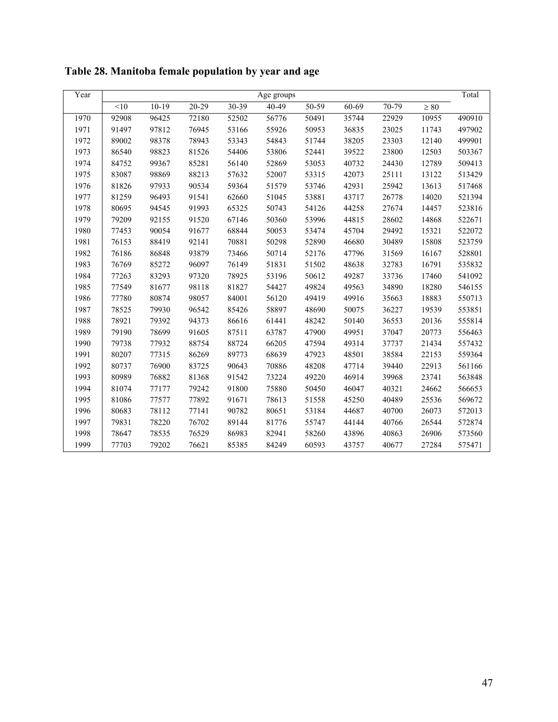| Year |       |         |           |           | Age groups |           |           |         |           | Total  |
|------|-------|---------|-----------|-----------|------------|-----------|-----------|---------|-----------|--------|
|      | <10   | $10-19$ | $20 - 29$ | $30 - 39$ | $40 - 49$  | $50 - 59$ | $60 - 69$ | $70-79$ | $\geq 80$ |        |
| 1970 | 92908 | 96425   | 72180     | 52502     | 56776      | 50491     | 35744     | 22929   | 10955     | 490910 |
| 1971 | 91497 | 97812   | 76945     | 53166     | 55926      | 50953     | 36835     | 23025   | 11743     | 497902 |
| 1972 | 89002 | 98378   | 78943     | 53343     | 54843      | 51744     | 38205     | 23303   | 12140     | 499901 |
| 1973 | 86540 | 98823   | 81526     | 54406     | 53806      | 52441     | 39522     | 23800   | 12503     | 503367 |
| 1974 | 84752 | 99367   | 85281     | 56140     | 52869      | 53053     | 40732     | 24430   | 12789     | 509413 |
| 1975 | 83087 | 98869   | 88213     | 57632     | 52007      | 53315     | 42073     | 25111   | 13122     | 513429 |
| 1976 | 81826 | 97933   | 90534     | 59364     | 51579      | 53746     | 42931     | 25942   | 13613     | 517468 |
| 1977 | 81259 | 96493   | 91541     | 62660     | 51045      | 53881     | 43717     | 26778   | 14020     | 521394 |
| 1978 | 80695 | 94545   | 91993     | 65325     | 50743      | 54126     | 44258     | 27674   | 14457     | 523816 |
| 1979 | 79209 | 92155   | 91520     | 67146     | 50360      | 53996     | 44815     | 28602   | 14868     | 522671 |
| 1980 | 77453 | 90054   | 91677     | 68844     | 50053      | 53474     | 45704     | 29492   | 15321     | 522072 |
| 1981 | 76153 | 88419   | 92141     | 70881     | 50298      | 52890     | 46680     | 30489   | 15808     | 523759 |
| 1982 | 76186 | 86848   | 93879     | 73466     | 50714      | 52176     | 47796     | 31569   | 16167     | 528801 |
| 1983 | 76769 | 85272   | 96097     | 76149     | 51831      | 51502     | 48638     | 32783   | 16791     | 535832 |
| 1984 | 77263 | 83293   | 97320     | 78925     | 53196      | 50612     | 49287     | 33736   | 17460     | 541092 |
| 1985 | 77549 | 81677   | 98118     | 81827     | 54427      | 49824     | 49563     | 34890   | 18280     | 546155 |
| 1986 | 77780 | 80874   | 98057     | 84001     | 56120      | 49419     | 49916     | 35663   | 18883     | 550713 |
| 1987 | 78525 | 79930   | 96542     | 85426     | 58897      | 48690     | 50075     | 36227   | 19539     | 553851 |
| 1988 | 78921 | 79392   | 94373     | 86616     | 61441      | 48242     | 50140     | 36553   | 20136     | 555814 |
| 1989 | 79190 | 78699   | 91605     | 87511     | 63787      | 47900     | 49951     | 37047   | 20773     | 556463 |
| 1990 | 79738 | 77932   | 88754     | 88724     | 66205      | 47594     | 49314     | 37737   | 21434     | 557432 |
| 1991 | 80207 | 77315   | 86269     | 89773     | 68639      | 47923     | 48501     | 38584   | 22153     | 559364 |
| 1992 | 80737 | 76900   | 83725     | 90643     | 70886      | 48208     | 47714     | 39440   | 22913     | 561166 |
| 1993 | 80989 | 76882   | 81368     | 91542     | 73224      | 49220     | 46914     | 39968   | 23741     | 563848 |
| 1994 | 81074 | 77177   | 79242     | 91800     | 75880      | 50450     | 46047     | 40321   | 24662     | 566653 |
| 1995 | 81086 | 77577   | 77892     | 91671     | 78613      | 51558     | 45250     | 40489   | 25536     | 569672 |
| 1996 | 80683 | 78112   | 77141     | 90782     | 80651      | 53184     | 44687     | 40700   | 26073     | 572013 |
| 1997 | 79831 | 78220   | 76702     | 89144     | 81776      | 55747     | 44144     | 40766   | 26544     | 572874 |
| 1998 | 78647 | 78535   | 76529     | 86983     | 82941      | 58260     | 43896     | 40863   | 26906     | 573560 |
| 1999 | 77703 | 79202   | 76621     | 85385     | 84249      | 60593     | 43757     | 40677   | 27284     | 575471 |

**Table 28. Manitoba female population by year and age**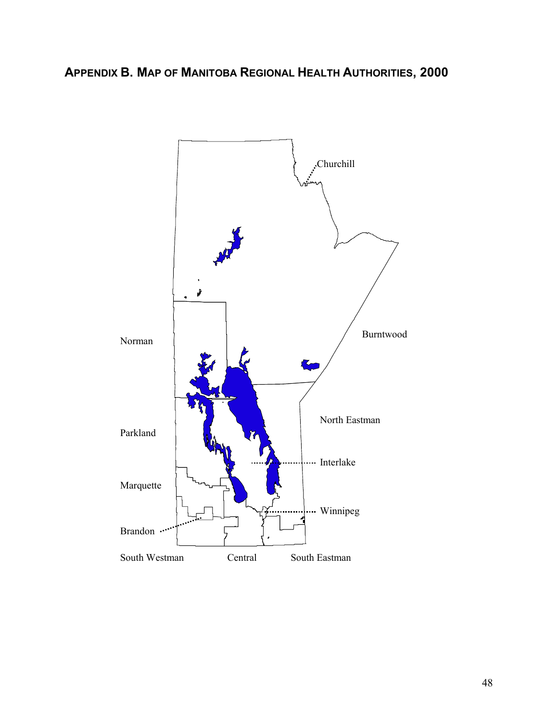# **APPENDIX B. MAP OF MANITOBA REGIONAL HEALTH AUTHORITIES, 2000**

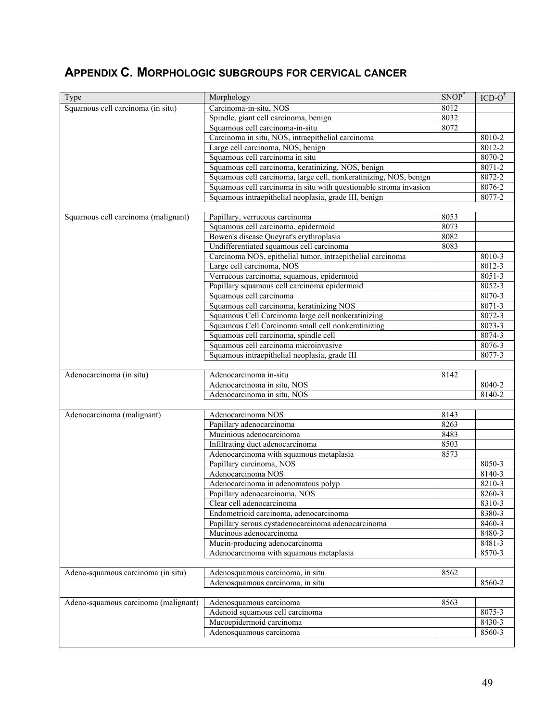# **APPENDIX C. MORPHOLOGIC SUBGROUPS FOR CERVICAL CANCER**

| Type                                 | Morphology                                                        | SNOP <sup>*</sup> | $ICD-O^{\dagger}$ |
|--------------------------------------|-------------------------------------------------------------------|-------------------|-------------------|
| Squamous cell carcinoma (in situ)    | Carcinoma-in-situ, NOS                                            | 8012              |                   |
|                                      | Spindle, giant cell carcinoma, benign                             | 8032              |                   |
|                                      | Squamous cell carcinoma-in-situ                                   | 8072              |                   |
|                                      | Carcinoma in situ, NOS, intraepithelial carcinoma                 |                   | 8010-2            |
|                                      | Large cell carcinoma, NOS, benign                                 |                   | $8012 - 2$        |
|                                      | Squamous cell carcinoma in situ                                   |                   | 8070-2            |
|                                      | Squamous cell carcinoma, keratinizing, NOS, benign                |                   | $8071 - 2$        |
|                                      | Squamous cell carcinoma, large cell, nonkeratinizing, NOS, benign |                   | 8072-2            |
|                                      | Squamous cell carcinoma in situ with questionable stroma invasion |                   | 8076-2            |
|                                      | Squamous intraepithelial neoplasia, grade III, benign             |                   | $8077 - 2$        |
|                                      |                                                                   |                   |                   |
| Squamous cell carcinoma (malignant)  | Papillary, verrucous carcinoma                                    | 8053              |                   |
|                                      | Squamous cell carcinoma, epidermoid                               | 8073              |                   |
|                                      | Bowen's disease Queyrat's erythroplasia                           | 8082              |                   |
|                                      | Undifferentiated squamous cell carcinoma                          | 8083              |                   |
|                                      | Carcinoma NOS, epithelial tumor, intraepithelial carcinoma        |                   | 8010-3            |
|                                      | Large cell carcinoma, NOS                                         |                   | 8012-3            |
|                                      | Verrucous carcinoma, squamous, epidermoid                         |                   | 8051-3            |
|                                      | Papillary squamous cell carcinoma epidermoid                      |                   | 8052-3            |
|                                      | Squamous cell carcinoma                                           |                   | 8070-3            |
|                                      | Squamous cell carcinoma, keratinizing NOS                         |                   | 8071-3            |
|                                      | Squamous Cell Carcinoma large cell nonkeratinizing                |                   | 8072-3            |
|                                      | Squamous Cell Carcinoma small cell nonkeratinizing                |                   | 8073-3            |
|                                      | Squamous cell carcinoma, spindle cell                             |                   | 8074-3            |
|                                      | Squamous cell carcinoma microinvasive                             |                   | $8076 - 3$        |
|                                      | Squamous intraepithelial neoplasia, grade III                     |                   | 8077-3            |
|                                      |                                                                   |                   |                   |
| Adenocarcinoma (in situ)             | Adenocarcinoma in-situ                                            | 8142              |                   |
|                                      | Adenocarcinoma in situ, NOS                                       |                   | 8040-2            |
|                                      | Adenocarcinoma in situ, NOS                                       |                   | 8140-2            |
|                                      |                                                                   |                   |                   |
| Adenocarcinoma (malignant)           | Adenocarcinoma NOS                                                | 8143              |                   |
|                                      | Papillary adenocarcinoma                                          | 8263              |                   |
|                                      | Mucinious adenocarcinoma                                          | 8483              |                   |
|                                      | Infiltrating duct adenocarcinoma                                  | 8503              |                   |
|                                      | Adenocarcinoma with squamous metaplasia                           | 8573              |                   |
|                                      | Papillary carcinoma, NOS                                          |                   | 8050-3            |
|                                      | Adenocarcinoma NOS                                                |                   | $8140 - 3$        |
|                                      | Adenocarcinoma in adenomatous polyp                               |                   | 8210-3            |
|                                      | Papillary adenocarcinoma, NOS                                     |                   | 8260-3            |
|                                      | Clear cell adenocarcinoma                                         |                   | 8310-3            |
|                                      | Endometrioid carcinoma, adenocarcinoma                            |                   | 8380-3            |
|                                      | Papillary serous cystadenocarcinoma adenocarcinoma                |                   | $8460 - 3$        |
|                                      | Mucinous adenocarcinoma                                           |                   | 8480-3            |
|                                      | Mucin-producing adenocarcinoma                                    |                   | 8481-3            |
|                                      | Adenocarcinoma with squamous metaplasia                           |                   | 8570-3            |
|                                      |                                                                   |                   |                   |
| Adeno-squamous carcinoma (in situ)   | Adenosquamous carcinoma, in situ                                  | 8562              |                   |
|                                      | Adenosquamous carcinoma, in situ                                  |                   | 8560-2            |
|                                      |                                                                   |                   |                   |
| Adeno-squamous carcinoma (malignant) | Adenosquamous carcinoma                                           | 8563              |                   |
|                                      | Adenoid squamous cell carcinoma                                   |                   | 8075-3            |
|                                      | Mucoepidermoid carcinoma                                          |                   | 8430-3            |
|                                      | Adenosquamous carcinoma                                           |                   | 8560-3            |
|                                      |                                                                   |                   |                   |